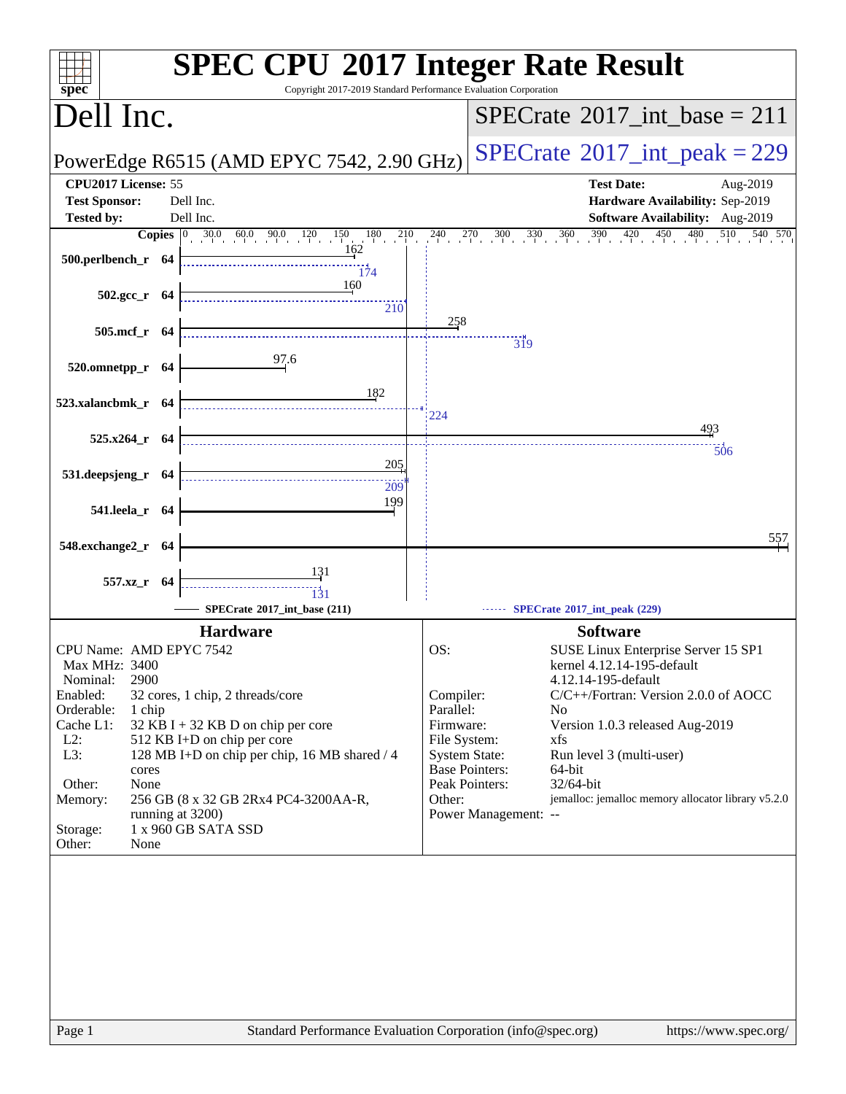| spec <sup>®</sup>                        | <b>SPEC CPU®2017 Integer Rate Result</b><br>Copyright 2017-2019 Standard Performance Evaluation Corporation |                        |                                                                                                             |
|------------------------------------------|-------------------------------------------------------------------------------------------------------------|------------------------|-------------------------------------------------------------------------------------------------------------|
| Dell Inc.                                |                                                                                                             |                        | $SPECTate@2017\_int\_base = 211$                                                                            |
|                                          | PowerEdge R6515 (AMD EPYC 7542, 2.90 GHz)                                                                   |                        | $SPECTate@2017_int\_peak = 229$                                                                             |
| CPU2017 License: 55                      |                                                                                                             |                        | <b>Test Date:</b><br>Aug-2019                                                                               |
| <b>Test Sponsor:</b>                     | Dell Inc.                                                                                                   |                        | Hardware Availability: Sep-2019                                                                             |
| <b>Tested by:</b>                        | Dell Inc.<br><b>Copies</b> $\begin{bmatrix} 0 & 30.0 & 60.0 & 90.0 & 120 & 150 & 180 & 210 \end{bmatrix}$   |                        | Software Availability: Aug-2019<br>$240$ $270$ $300$ $330$ $360$ $390$ $420$ $450$ $480$ $510$<br>$540$ 570 |
| 500.perlbench_r 64                       | 162<br>174                                                                                                  |                        |                                                                                                             |
| $502.\text{gcc}_r$ 64                    | 160<br>210                                                                                                  |                        |                                                                                                             |
| 505.mcf_r 64                             |                                                                                                             | 258                    |                                                                                                             |
|                                          | 97.6                                                                                                        |                        | $\overline{319}$                                                                                            |
| 520.omnetpp_r 64                         |                                                                                                             |                        |                                                                                                             |
| 523.xalancbmk_r 64                       | 182                                                                                                         |                        |                                                                                                             |
|                                          |                                                                                                             | 224                    | 493                                                                                                         |
| $525.x264$ r 64                          |                                                                                                             |                        | 506                                                                                                         |
| 531.deepsjeng_r 64                       | 205                                                                                                         |                        |                                                                                                             |
|                                          | 209                                                                                                         |                        |                                                                                                             |
| 541.leela_r 64                           | 199                                                                                                         |                        |                                                                                                             |
| 548.exchange2_r 64                       |                                                                                                             |                        | 557                                                                                                         |
|                                          | 131                                                                                                         |                        |                                                                                                             |
| 557.xz_r 64                              | 131                                                                                                         |                        |                                                                                                             |
|                                          | SPECrate®2017_int_base (211)                                                                                |                        | SPECrate®2017_int_peak (229)                                                                                |
|                                          | <b>Hardware</b>                                                                                             |                        | <b>Software</b>                                                                                             |
| CPU Name: AMD EPYC 7542<br>Max MHz: 3400 |                                                                                                             | OS:                    | SUSE Linux Enterprise Server 15 SP1<br>kernel 4.12.14-195-default                                           |
| 2900<br>Nominal:                         |                                                                                                             |                        | 4.12.14-195-default                                                                                         |
| Enabled:<br>Orderable:<br>1 chip         | 32 cores, 1 chip, 2 threads/core                                                                            | Compiler:<br>Parallel: | C/C++/Fortran: Version 2.0.0 of AOCC<br>N <sub>0</sub>                                                      |
| Cache L1:                                | $32$ KB I + 32 KB D on chip per core                                                                        | Firmware:              | Version 1.0.3 released Aug-2019                                                                             |
| $L2$ :                                   | 512 KB I+D on chip per core                                                                                 | File System:           | xfs                                                                                                         |
| L3:<br>cores                             | 128 MB I+D on chip per chip, 16 MB shared / 4                                                               |                        | <b>System State:</b><br>Run level 3 (multi-user)<br><b>Base Pointers:</b><br>64-bit                         |
| Other:<br>None                           |                                                                                                             |                        | Peak Pointers:<br>32/64-bit                                                                                 |
| Memory:                                  | 256 GB (8 x 32 GB 2Rx4 PC4-3200AA-R,                                                                        | Other:                 | jemalloc: jemalloc memory allocator library v5.2.0                                                          |
| running at 3200)<br>Storage:             | 1 x 960 GB SATA SSD                                                                                         |                        | Power Management: --                                                                                        |
| Other:<br>None                           |                                                                                                             |                        |                                                                                                             |
|                                          |                                                                                                             |                        |                                                                                                             |
|                                          |                                                                                                             |                        |                                                                                                             |
|                                          |                                                                                                             |                        |                                                                                                             |
|                                          |                                                                                                             |                        |                                                                                                             |
|                                          |                                                                                                             |                        |                                                                                                             |
|                                          |                                                                                                             |                        |                                                                                                             |
|                                          |                                                                                                             |                        |                                                                                                             |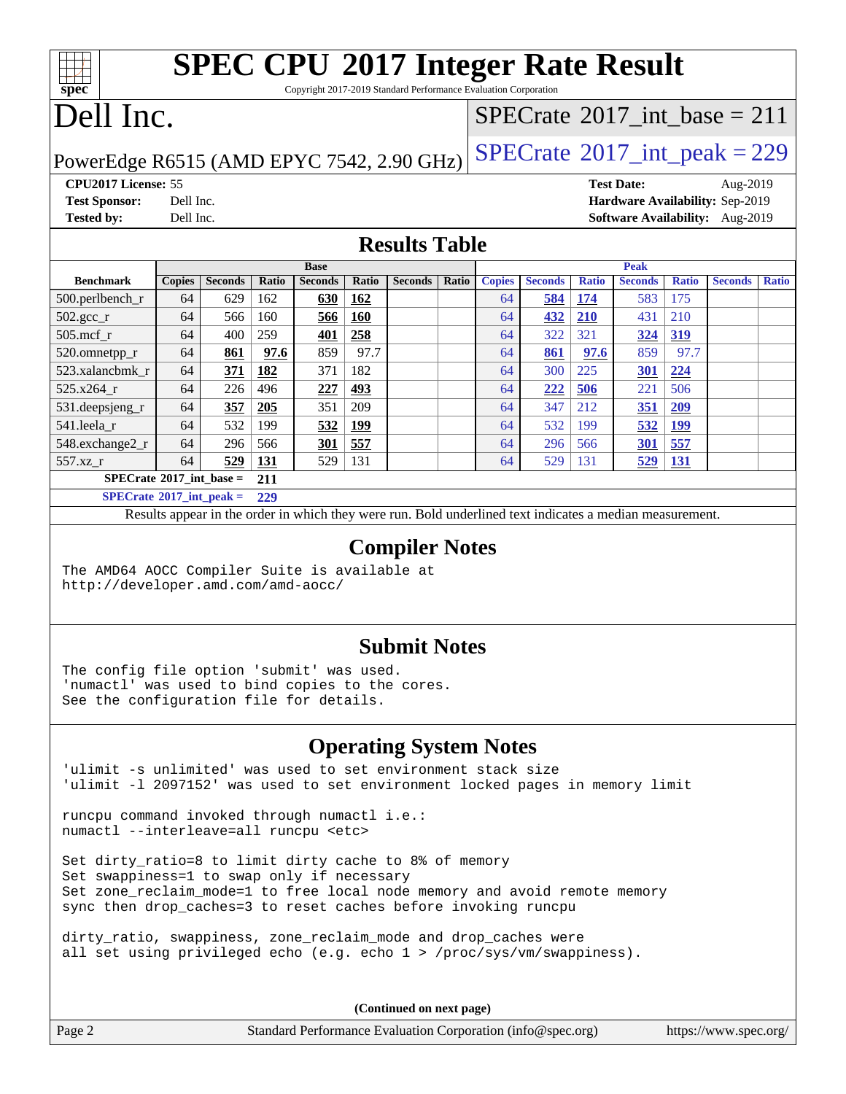### **[spec](http://www.spec.org/) [SPEC CPU](http://www.spec.org/auto/cpu2017/Docs/result-fields.html#SPECCPU2017IntegerRateResult)[2017 Integer Rate Result](http://www.spec.org/auto/cpu2017/Docs/result-fields.html#SPECCPU2017IntegerRateResult)** Copyright 2017-2019 Standard Performance Evaluation Corporation

## Dell Inc.

### $SPECTate$ <sup>®</sup>[2017\\_int\\_base =](http://www.spec.org/auto/cpu2017/Docs/result-fields.html#SPECrate2017intbase) 211

PowerEdge R6515 (AMD EPYC 7542, 2.90 GHz)  $SPECrate^{\circ}2017\_int\_peak = 229$  $SPECrate^{\circ}2017\_int\_peak = 229$ 

**[CPU2017 License:](http://www.spec.org/auto/cpu2017/Docs/result-fields.html#CPU2017License)** 55 **[Test Date:](http://www.spec.org/auto/cpu2017/Docs/result-fields.html#TestDate)** Aug-2019 **[Test Sponsor:](http://www.spec.org/auto/cpu2017/Docs/result-fields.html#TestSponsor)** Dell Inc. **[Hardware Availability:](http://www.spec.org/auto/cpu2017/Docs/result-fields.html#HardwareAvailability)** Sep-2019 **[Tested by:](http://www.spec.org/auto/cpu2017/Docs/result-fields.html#Testedby)** Dell Inc. **[Software Availability:](http://www.spec.org/auto/cpu2017/Docs/result-fields.html#SoftwareAvailability)** Aug-2019

### **[Results Table](http://www.spec.org/auto/cpu2017/Docs/result-fields.html#ResultsTable)**

|                                                | <b>Base</b>   |                |       |                |            |                |       | <b>Peak</b>   |                |              |                |              |                |              |
|------------------------------------------------|---------------|----------------|-------|----------------|------------|----------------|-------|---------------|----------------|--------------|----------------|--------------|----------------|--------------|
| <b>Benchmark</b>                               | <b>Copies</b> | <b>Seconds</b> | Ratio | <b>Seconds</b> | Ratio      | <b>Seconds</b> | Ratio | <b>Copies</b> | <b>Seconds</b> | <b>Ratio</b> | <b>Seconds</b> | <b>Ratio</b> | <b>Seconds</b> | <b>Ratio</b> |
| 500.perlbench_r                                | 64            | 629            | 162   | <u>630</u>     | 162        |                |       | 64            | 584            | <u>174</u>   | 583            | 175          |                |              |
| 502.gcc_r                                      | 64            | 566            | 160   | 566            | 160        |                |       | 64            | 432            | <b>210</b>   | 431            | 210          |                |              |
| $505$ .mcf r                                   | 64            | 400            | 259   | 401            | 258        |                |       | 64            | 322            | 321          | 324            | 319          |                |              |
| 520.omnetpp_r                                  | 64            | 861            | 97.6  | 859            | 97.7       |                |       | 64            | 861            | 97.6         | 859            | 97.7         |                |              |
| 523.xalancbmk r                                | 64            | 371            | 182   | 371            | 182        |                |       | 64            | 300            | 225          | 301            | 224          |                |              |
| 525.x264 r                                     | 64            | 226            | 496   | 227            | 493        |                |       | 64            | 222            | 506          | 221            | 506          |                |              |
| 531.deepsjeng_r                                | 64            | 357            | 205   | 351            | 209        |                |       | 64            | 347            | 212          | <u>351</u>     | 209          |                |              |
| 541.leela r                                    | 64            | 532            | 199   | 532            | <u>199</u> |                |       | 64            | 532            | 199          | 532            | <u>199</u>   |                |              |
| 548.exchange2_r                                | 64            | 296            | 566   | <b>301</b>     | 557        |                |       | 64            | 296            | 566          | 301            | 557          |                |              |
| 557.xz                                         | 64            | 529            | 131   | 529            | 131        |                |       | 64            | 529            | 131          | 529            | <u>131</u>   |                |              |
| $SPECrate^{\circ}2017$ int base =              |               |                | 211   |                |            |                |       |               |                |              |                |              |                |              |
| $CDFC_{\text{mod}} \otimes 2017$ intervals $=$ |               |                | 220   |                |            |                |       |               |                |              |                |              |                |              |

**[SPECrate](http://www.spec.org/auto/cpu2017/Docs/result-fields.html#SPECrate2017intpeak)[2017\\_int\\_peak =](http://www.spec.org/auto/cpu2017/Docs/result-fields.html#SPECrate2017intpeak) 229**

Results appear in the [order in which they were run.](http://www.spec.org/auto/cpu2017/Docs/result-fields.html#RunOrder) Bold underlined text [indicates a median measurement.](http://www.spec.org/auto/cpu2017/Docs/result-fields.html#Median)

### **[Compiler Notes](http://www.spec.org/auto/cpu2017/Docs/result-fields.html#CompilerNotes)**

The AMD64 AOCC Compiler Suite is available at <http://developer.amd.com/amd-aocc/>

### **[Submit Notes](http://www.spec.org/auto/cpu2017/Docs/result-fields.html#SubmitNotes)**

The config file option 'submit' was used. 'numactl' was used to bind copies to the cores. See the configuration file for details.

### **[Operating System Notes](http://www.spec.org/auto/cpu2017/Docs/result-fields.html#OperatingSystemNotes)**

'ulimit -s unlimited' was used to set environment stack size 'ulimit -l 2097152' was used to set environment locked pages in memory limit

runcpu command invoked through numactl i.e.: numactl --interleave=all runcpu <etc>

Set dirty\_ratio=8 to limit dirty cache to 8% of memory Set swappiness=1 to swap only if necessary Set zone\_reclaim\_mode=1 to free local node memory and avoid remote memory sync then drop\_caches=3 to reset caches before invoking runcpu

dirty\_ratio, swappiness, zone\_reclaim\_mode and drop\_caches were all set using privileged echo (e.g. echo 1 > /proc/sys/vm/swappiness).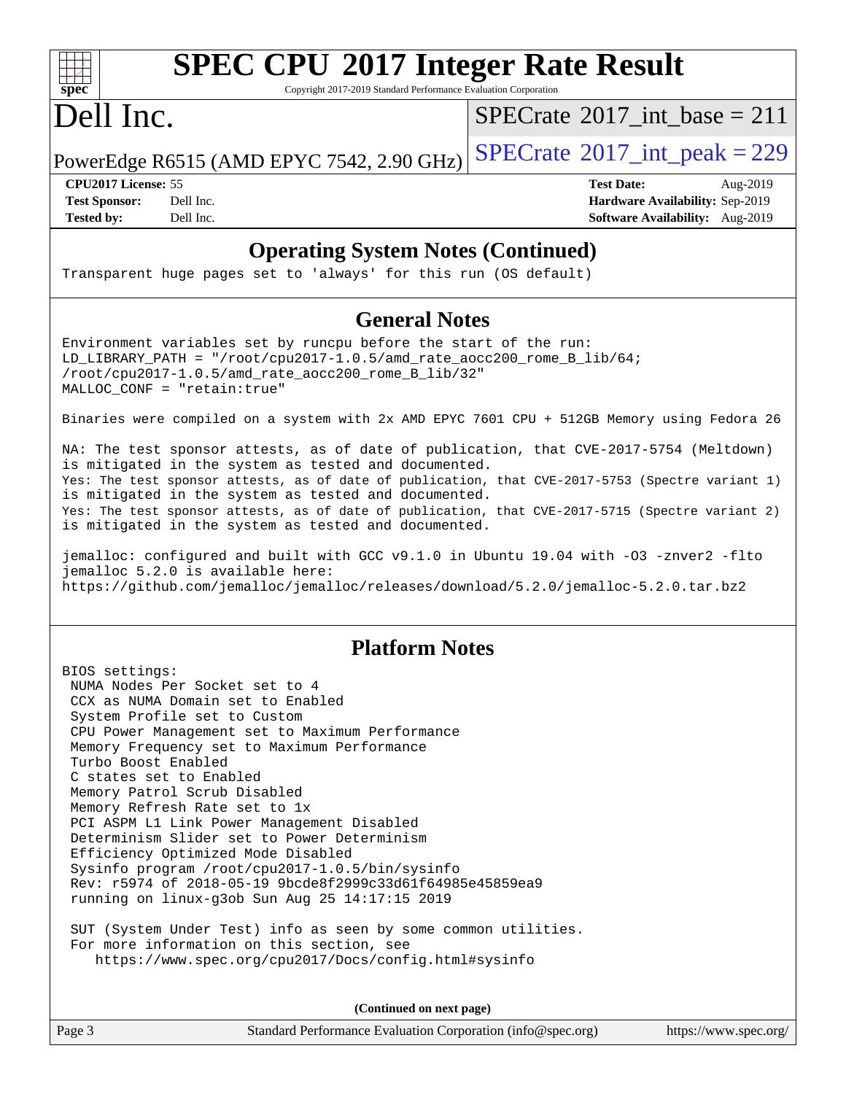

## **[SPEC CPU](http://www.spec.org/auto/cpu2017/Docs/result-fields.html#SPECCPU2017IntegerRateResult)[2017 Integer Rate Result](http://www.spec.org/auto/cpu2017/Docs/result-fields.html#SPECCPU2017IntegerRateResult)**

Copyright 2017-2019 Standard Performance Evaluation Corporation

## Dell Inc.

 $SPECrate$ <sup>®</sup> $2017$ \_int\_base = 211

PowerEdge R6515 (AMD EPYC 7542, 2.90 GHz)  $SPECrate^{\circ}2017\_int\_peak = 229$  $SPECrate^{\circ}2017\_int\_peak = 229$ 

**[CPU2017 License:](http://www.spec.org/auto/cpu2017/Docs/result-fields.html#CPU2017License)** 55 **[Test Date:](http://www.spec.org/auto/cpu2017/Docs/result-fields.html#TestDate)** Aug-2019 **[Test Sponsor:](http://www.spec.org/auto/cpu2017/Docs/result-fields.html#TestSponsor)** Dell Inc. **[Hardware Availability:](http://www.spec.org/auto/cpu2017/Docs/result-fields.html#HardwareAvailability)** Sep-2019 **[Tested by:](http://www.spec.org/auto/cpu2017/Docs/result-fields.html#Testedby)** Dell Inc. **[Software Availability:](http://www.spec.org/auto/cpu2017/Docs/result-fields.html#SoftwareAvailability)** Aug-2019

### **[Operating System Notes \(Continued\)](http://www.spec.org/auto/cpu2017/Docs/result-fields.html#OperatingSystemNotes)**

Transparent huge pages set to 'always' for this run (OS default)

### **[General Notes](http://www.spec.org/auto/cpu2017/Docs/result-fields.html#GeneralNotes)**

Environment variables set by runcpu before the start of the run: LD\_LIBRARY\_PATH = "/root/cpu2017-1.0.5/amd\_rate\_aocc200\_rome\_B\_lib/64;  $/root/cpu2017-1.0.5/amd rate aocc200$  rome B lib/32" MALLOC\_CONF = "retain:true"

Binaries were compiled on a system with 2x AMD EPYC 7601 CPU + 512GB Memory using Fedora 26

NA: The test sponsor attests, as of date of publication, that CVE-2017-5754 (Meltdown) is mitigated in the system as tested and documented. Yes: The test sponsor attests, as of date of publication, that CVE-2017-5753 (Spectre variant 1) is mitigated in the system as tested and documented. Yes: The test sponsor attests, as of date of publication, that CVE-2017-5715 (Spectre variant 2) is mitigated in the system as tested and documented.

jemalloc: configured and built with GCC v9.1.0 in Ubuntu 19.04 with -O3 -znver2 -flto jemalloc 5.2.0 is available here: <https://github.com/jemalloc/jemalloc/releases/download/5.2.0/jemalloc-5.2.0.tar.bz2>

### **[Platform Notes](http://www.spec.org/auto/cpu2017/Docs/result-fields.html#PlatformNotes)**

BIOS settings: NUMA Nodes Per Socket set to 4 CCX as NUMA Domain set to Enabled System Profile set to Custom CPU Power Management set to Maximum Performance Memory Frequency set to Maximum Performance Turbo Boost Enabled C states set to Enabled Memory Patrol Scrub Disabled Memory Refresh Rate set to 1x PCI ASPM L1 Link Power Management Disabled Determinism Slider set to Power Determinism Efficiency Optimized Mode Disabled Sysinfo program /root/cpu2017-1.0.5/bin/sysinfo Rev: r5974 of 2018-05-19 9bcde8f2999c33d61f64985e45859ea9 running on linux-g3ob Sun Aug 25 14:17:15 2019

 SUT (System Under Test) info as seen by some common utilities. For more information on this section, see <https://www.spec.org/cpu2017/Docs/config.html#sysinfo>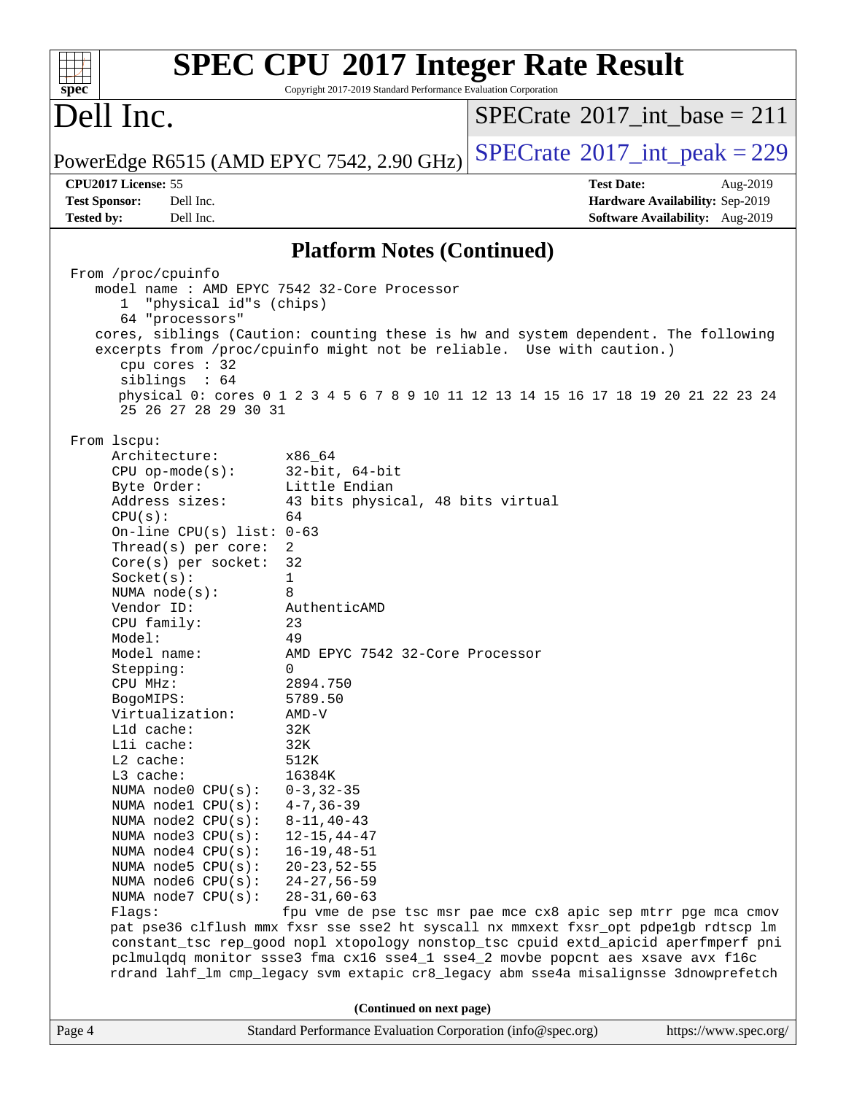| spec <sup>®</sup>                                                                                                                                                                                                                                                                                                                                                                                                                                                                                                                                                                           | Copyright 2017-2019 Standard Performance Evaluation Corporation                                                                                                                                                                                                                                                                                                                                                                | <b>SPEC CPU®2017 Integer Rate Result</b>                                                                                                                                                                                                                                                                                                                                                                            |
|---------------------------------------------------------------------------------------------------------------------------------------------------------------------------------------------------------------------------------------------------------------------------------------------------------------------------------------------------------------------------------------------------------------------------------------------------------------------------------------------------------------------------------------------------------------------------------------------|--------------------------------------------------------------------------------------------------------------------------------------------------------------------------------------------------------------------------------------------------------------------------------------------------------------------------------------------------------------------------------------------------------------------------------|---------------------------------------------------------------------------------------------------------------------------------------------------------------------------------------------------------------------------------------------------------------------------------------------------------------------------------------------------------------------------------------------------------------------|
| Dell Inc.                                                                                                                                                                                                                                                                                                                                                                                                                                                                                                                                                                                   |                                                                                                                                                                                                                                                                                                                                                                                                                                | $SPECrate^{\circledast}2017$ int base = 211                                                                                                                                                                                                                                                                                                                                                                         |
| PowerEdge R6515 (AMD EPYC 7542, 2.90 GHz)                                                                                                                                                                                                                                                                                                                                                                                                                                                                                                                                                   |                                                                                                                                                                                                                                                                                                                                                                                                                                | $SPECTate$ <sup>®</sup> 2017_int_peak = 229                                                                                                                                                                                                                                                                                                                                                                         |
| CPU2017 License: 55                                                                                                                                                                                                                                                                                                                                                                                                                                                                                                                                                                         |                                                                                                                                                                                                                                                                                                                                                                                                                                | <b>Test Date:</b><br>Aug-2019                                                                                                                                                                                                                                                                                                                                                                                       |
| <b>Test Sponsor:</b><br>Dell Inc.                                                                                                                                                                                                                                                                                                                                                                                                                                                                                                                                                           |                                                                                                                                                                                                                                                                                                                                                                                                                                | Hardware Availability: Sep-2019                                                                                                                                                                                                                                                                                                                                                                                     |
| <b>Tested by:</b><br>Dell Inc.                                                                                                                                                                                                                                                                                                                                                                                                                                                                                                                                                              |                                                                                                                                                                                                                                                                                                                                                                                                                                | Software Availability: Aug-2019                                                                                                                                                                                                                                                                                                                                                                                     |
|                                                                                                                                                                                                                                                                                                                                                                                                                                                                                                                                                                                             | <b>Platform Notes (Continued)</b>                                                                                                                                                                                                                                                                                                                                                                                              |                                                                                                                                                                                                                                                                                                                                                                                                                     |
| From /proc/cpuinfo<br>model name: AMD EPYC 7542 32-Core Processor<br>"physical id"s (chips)<br>$\mathbf{1}$<br>64 "processors"<br>cpu cores : 32<br>siblings : 64<br>25 26 27 28 29 30 31                                                                                                                                                                                                                                                                                                                                                                                                   |                                                                                                                                                                                                                                                                                                                                                                                                                                | cores, siblings (Caution: counting these is hw and system dependent. The following<br>excerpts from /proc/cpuinfo might not be reliable. Use with caution.)<br>physical 0: cores 0 1 2 3 4 5 6 7 8 9 10 11 12 13 14 15 16 17 18 19 20 21 22 23 24                                                                                                                                                                   |
| From 1scpu:<br>Architecture:<br>$CPU$ op-mode( $s$ ):<br>Byte Order:<br>Address sizes:<br>CPU(s):<br>On-line CPU(s) list: $0-63$<br>Thread(s) per core:<br>Core(s) per socket:<br>Socket(s):<br>NUMA node(s):<br>Vendor ID:<br>CPU family:<br>Model:<br>Model name:<br>Stepping:<br>CPU MHz:<br>BogoMIPS:<br>Virtualization:<br>L1d cache:<br>Lli cache:<br>$L2$ cache:<br>L3 cache:<br>NUMA node0 CPU(s):<br>NUMA node1 CPU(s):<br>NUMA $node2$ $CPU(s)$ :<br>NUMA node3 CPU(s):<br>NUMA $node4$ $CPU(s):$<br>NUMA $node5$ $CPU(s):$<br>NUMA node6 CPU(s):<br>NUMA node7 CPU(s):<br>Flags: | x86 64<br>$32$ -bit, $64$ -bit<br>Little Endian<br>43 bits physical, 48 bits virtual<br>64<br>2<br>32<br>1<br>8<br>AuthenticAMD<br>23<br>49<br>AMD EPYC 7542 32-Core Processor<br>0<br>2894.750<br>5789.50<br>AMD-V<br>32K<br>32K<br>512K<br>16384K<br>$0 - 3, 32 - 35$<br>$4 - 7, 36 - 39$<br>$8 - 11, 40 - 43$<br>$12 - 15, 44 - 47$<br>$16 - 19, 48 - 51$<br>$20 - 23, 52 - 55$<br>$24 - 27, 56 - 59$<br>$28 - 31, 60 - 63$ | fpu vme de pse tsc msr pae mce cx8 apic sep mtrr pge mca cmov<br>pat pse36 clflush mmx fxsr sse sse2 ht syscall nx mmxext fxsr_opt pdpe1gb rdtscp lm<br>constant_tsc rep_good nopl xtopology nonstop_tsc cpuid extd_apicid aperfmperf pni<br>pclmulqdq monitor ssse3 fma cx16 sse4_1 sse4_2 movbe popcnt aes xsave avx f16c<br>rdrand lahf_lm cmp_legacy svm extapic cr8_legacy abm sse4a misalignsse 3dnowprefetch |
|                                                                                                                                                                                                                                                                                                                                                                                                                                                                                                                                                                                             | (Continued on next page)                                                                                                                                                                                                                                                                                                                                                                                                       |                                                                                                                                                                                                                                                                                                                                                                                                                     |
| Page 4                                                                                                                                                                                                                                                                                                                                                                                                                                                                                                                                                                                      | Standard Performance Evaluation Corporation (info@spec.org)                                                                                                                                                                                                                                                                                                                                                                    | https://www.spec.org/                                                                                                                                                                                                                                                                                                                                                                                               |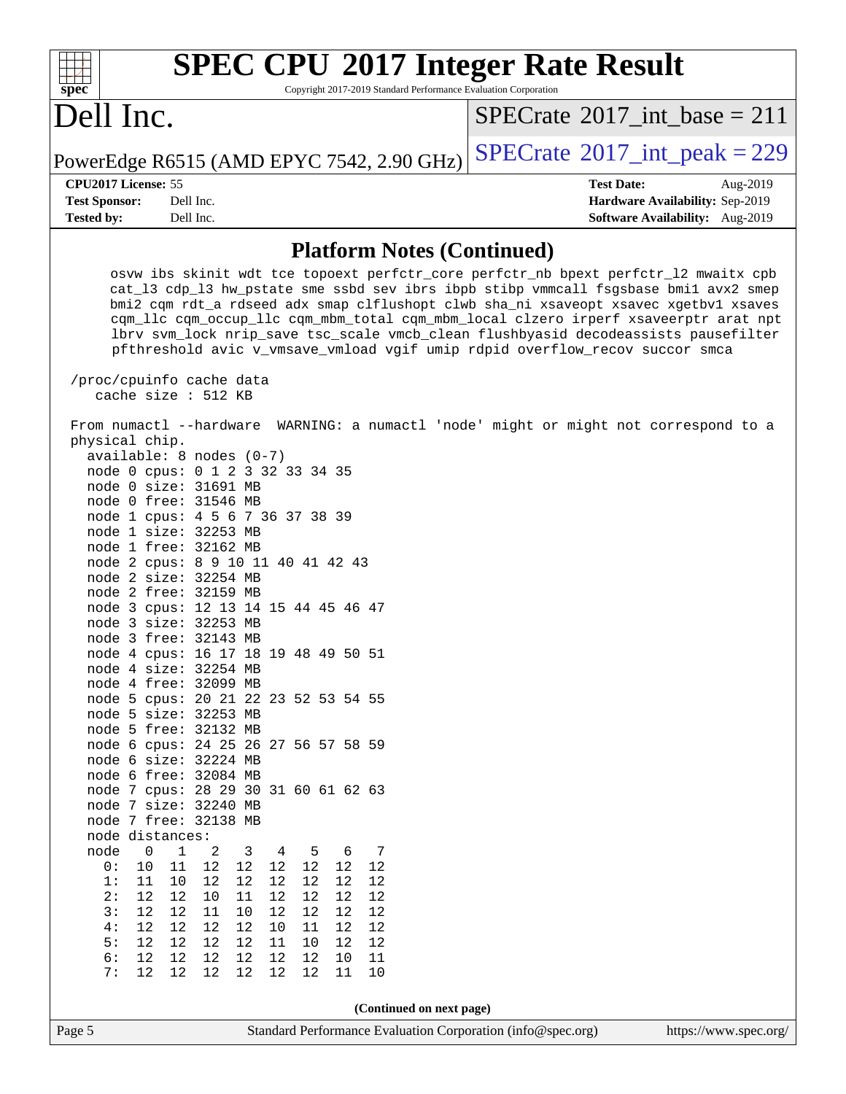| $Spec^*$             | <b>SPEC CPU®2017 Integer Rate Result</b><br>Copyright 2017-2019 Standard Performance Evaluation Corporation |                                           |  |                   |                                             |  |  |  |
|----------------------|-------------------------------------------------------------------------------------------------------------|-------------------------------------------|--|-------------------|---------------------------------------------|--|--|--|
| Dell Inc.            |                                                                                                             |                                           |  |                   | $SPECrate^{\circledast}2017$ int base = 211 |  |  |  |
|                      |                                                                                                             | PowerEdge R6515 (AMD EPYC 7542, 2.90 GHz) |  |                   | $SPECrate^{\circ}2017\_int\_peak = 229$     |  |  |  |
| CPU2017 License: 55  |                                                                                                             |                                           |  | <b>Test Date:</b> | Aug-2019                                    |  |  |  |
| <b>Test Sponsor:</b> | Dell Inc.                                                                                                   |                                           |  |                   | Hardware Availability: Sep-2019             |  |  |  |
| <b>Tested by:</b>    | Dell Inc.                                                                                                   |                                           |  |                   | Software Availability: Aug-2019             |  |  |  |
|                      |                                                                                                             |                                           |  |                   |                                             |  |  |  |

### **[Platform Notes \(Continued\)](http://www.spec.org/auto/cpu2017/Docs/result-fields.html#PlatformNotes)**

 osvw ibs skinit wdt tce topoext perfctr\_core perfctr\_nb bpext perfctr\_l2 mwaitx cpb cat\_l3 cdp\_l3 hw\_pstate sme ssbd sev ibrs ibpb stibp vmmcall fsgsbase bmi1 avx2 smep bmi2 cqm rdt\_a rdseed adx smap clflushopt clwb sha\_ni xsaveopt xsavec xgetbv1 xsaves cqm\_llc cqm\_occup\_llc cqm\_mbm\_total cqm\_mbm\_local clzero irperf xsaveerptr arat npt lbrv svm\_lock nrip\_save tsc\_scale vmcb\_clean flushbyasid decodeassists pausefilter pfthreshold avic v\_vmsave\_vmload vgif umip rdpid overflow\_recov succor smca

 /proc/cpuinfo cache data cache size : 512 KB

 From numactl --hardware WARNING: a numactl 'node' might or might not correspond to a physical chip. available: 8 nodes (0-7)

| node 0 cpus: 0 1 2 3 32 33 34 35     |                |    |                                 |                 |          |    |    |                 |                       |      |
|--------------------------------------|----------------|----|---------------------------------|-----------------|----------|----|----|-----------------|-----------------------|------|
| node 0                               |                |    | size: 31691                     |                 | MB       |    |    |                 |                       |      |
| node 0                               |                |    | free: 31546 MB                  |                 |          |    |    |                 |                       |      |
| node 1 cpus: 4 5 6 7 36 37 38 39     |                |    |                                 |                 |          |    |    |                 |                       |      |
| node 1                               |                |    | size: 32253                     |                 | MB       |    |    |                 |                       |      |
| node 1                               |                |    | free: 32162                     |                 | MB       |    |    |                 |                       |      |
| node                                 |                |    | $2$ cpus:                       |                 |          |    |    |                 | 8 9 10 11 40 41 42 43 |      |
| node                                 | $\overline{a}$ |    | size:                           | 32254           | MB       |    |    |                 |                       |      |
| node                                 |                |    | 2 free:                         | 32159           | MB       |    |    |                 |                       |      |
| node                                 |                |    | $3$ cpus:                       | 12 13           |          |    |    |                 | 14 15 44 45 46 47     |      |
| node                                 |                |    | 3 size:                         | 32253           | $\rm MB$ |    |    |                 |                       |      |
| node 3 free:                         |                |    |                                 | 32143           | $\rm MB$ |    |    |                 |                       |      |
| node 4 cpus:                         |                |    |                                 | 16 17           | 18       |    |    |                 | 19 48 49 50 51        |      |
| node 4 size:                         |                |    |                                 | 32254           | $\rm MB$ |    |    |                 |                       |      |
| node 4 free: 32099                   |                |    |                                 |                 | $\rm MB$ |    |    |                 |                       |      |
| node 5 cpus: 20 21 22 23 52 53 54 55 |                |    |                                 |                 |          |    |    |                 |                       |      |
| node 5 size: 32253                   |                |    |                                 |                 | $\rm MB$ |    |    |                 |                       |      |
| node 5 free: 32132                   |                |    |                                 |                 | MB       |    |    |                 |                       |      |
| node                                 |                |    | 6 cpus: 24 25 26 27 56 57 58 59 |                 |          |    |    |                 |                       |      |
| node                                 |                |    | 6 size: 32224                   |                 | MB       |    |    |                 |                       |      |
| node                                 | 6              |    | free: 32084                     |                 | МB       |    |    |                 |                       |      |
| node                                 | 7              |    | cpus: 28 29                     |                 |          |    |    |                 | 30 31 60 61 62 63     |      |
| node 7                               |                |    | size: 32240                     |                 | MB       |    |    |                 |                       |      |
| node 7                               |                |    | free: 32138                     |                 | MB       |    |    |                 |                       |      |
| node distances:                      |                |    |                                 |                 |          |    |    |                 |                       |      |
| node                                 |                | 0  | 1                               | 2               | 3        |    | 4  | 5               | 6                     | 7    |
| 0:                                   |                | 10 | 11                              | 12              | 12       |    | 12 | 12              | 12                    | 12   |
| 1:                                   |                | 11 | 10                              | 12              | 12       |    | 12 | 12              | 12 <sub>2</sub>       | 12   |
| 2:                                   |                | 12 | 12                              | 10 <sub>1</sub> | 11       |    | 12 | 12 <sub>2</sub> | 12                    | 12   |
| 3:                                   |                | 12 | 12                              | 11              | 10       |    | 12 | 12              | 12                    | 12   |
| 4:                                   |                | 12 | 12                              | 12              | 12       |    | 10 | 11              | 12                    | 12   |
| 5:                                   |                | 12 | 12                              | 12              | 12       |    | 11 | 10              | 12                    | $12$ |
| 6:                                   |                | 12 | 12                              | 12 <sub>2</sub> | 12       |    | 12 | 12              | 10                    | 11   |
| 7:                                   |                | 12 | 12                              | 12              | 12       | 12 |    | 12              | 11                    | 10   |
|                                      |                |    |                                 |                 |          |    |    |                 |                       |      |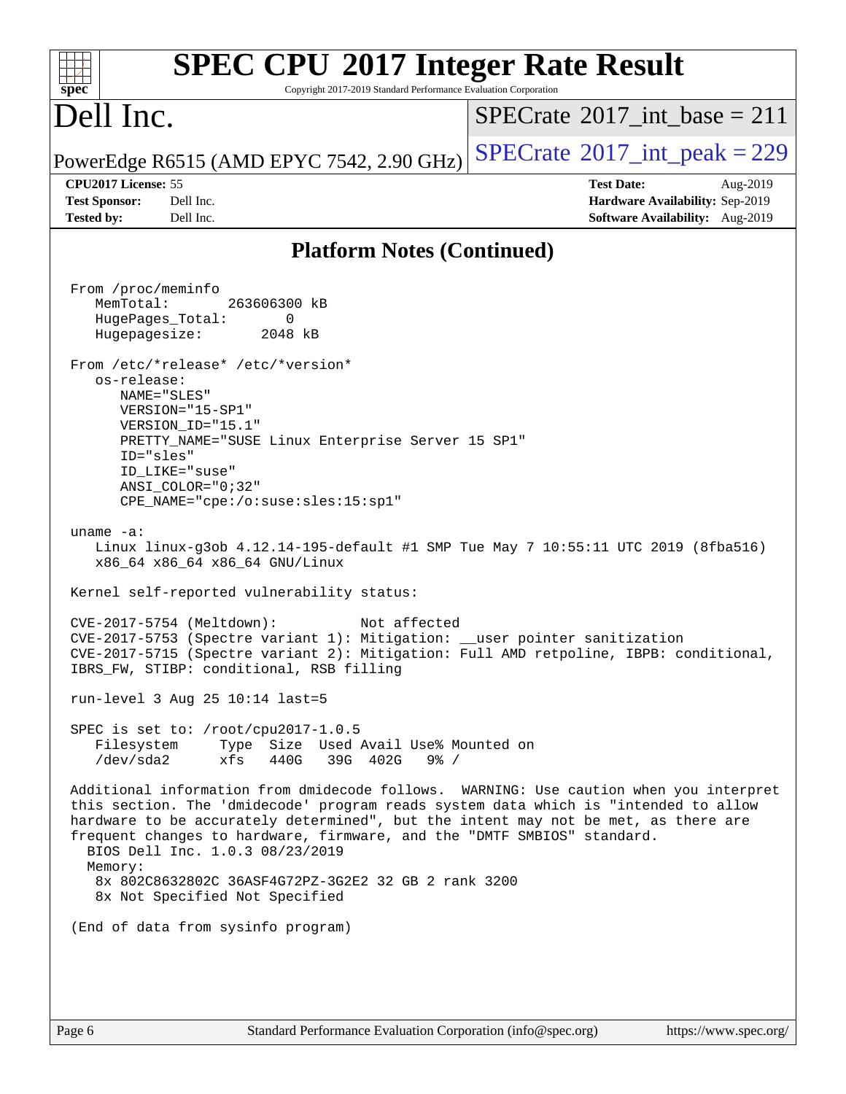| <b>SPEC CPU®2017 Integer Rate Result</b><br>Copyright 2017-2019 Standard Performance Evaluation Corporation<br>spec <sup>®</sup>                                                                                                                                                                                                                                                                                                                                                                                                                                                                                                                                                                                                                                                                                                                                                                                                                                                                                                                                                                                                                                                                                                                                                                                                                                                                                                                                                                                                                      |                                                                                                     |
|-------------------------------------------------------------------------------------------------------------------------------------------------------------------------------------------------------------------------------------------------------------------------------------------------------------------------------------------------------------------------------------------------------------------------------------------------------------------------------------------------------------------------------------------------------------------------------------------------------------------------------------------------------------------------------------------------------------------------------------------------------------------------------------------------------------------------------------------------------------------------------------------------------------------------------------------------------------------------------------------------------------------------------------------------------------------------------------------------------------------------------------------------------------------------------------------------------------------------------------------------------------------------------------------------------------------------------------------------------------------------------------------------------------------------------------------------------------------------------------------------------------------------------------------------------|-----------------------------------------------------------------------------------------------------|
| Dell Inc.                                                                                                                                                                                                                                                                                                                                                                                                                                                                                                                                                                                                                                                                                                                                                                                                                                                                                                                                                                                                                                                                                                                                                                                                                                                                                                                                                                                                                                                                                                                                             | $SPECrate^{\circledast}2017$ int base = 211                                                         |
| PowerEdge R6515 (AMD EPYC 7542, 2.90 GHz)                                                                                                                                                                                                                                                                                                                                                                                                                                                                                                                                                                                                                                                                                                                                                                                                                                                                                                                                                                                                                                                                                                                                                                                                                                                                                                                                                                                                                                                                                                             | $SPECTate$ <sup>®</sup> 2017_int_peak = 229                                                         |
| CPU2017 License: 55<br><b>Test Sponsor:</b><br>Dell Inc.<br>Dell Inc.<br><b>Tested by:</b>                                                                                                                                                                                                                                                                                                                                                                                                                                                                                                                                                                                                                                                                                                                                                                                                                                                                                                                                                                                                                                                                                                                                                                                                                                                                                                                                                                                                                                                            | <b>Test Date:</b><br>Aug-2019<br>Hardware Availability: Sep-2019<br>Software Availability: Aug-2019 |
| <b>Platform Notes (Continued)</b>                                                                                                                                                                                                                                                                                                                                                                                                                                                                                                                                                                                                                                                                                                                                                                                                                                                                                                                                                                                                                                                                                                                                                                                                                                                                                                                                                                                                                                                                                                                     |                                                                                                     |
| From /proc/meminfo<br>MemTotal:<br>263606300 kB<br>HugePages_Total:<br>0<br>2048 kB<br>Hugepagesize:<br>From /etc/*release* /etc/*version*<br>os-release:<br>NAME="SLES"<br>VERSION="15-SP1"<br>VERSION ID="15.1"<br>PRETTY_NAME="SUSE Linux Enterprise Server 15 SP1"<br>ID="sles"<br>ID LIKE="suse"<br>$ANSI$ _COLOR="0;32"<br>CPE_NAME="cpe:/o:suse:sles:15:sp1"<br>uname $-a$ :<br>Linux linux-g3ob 4.12.14-195-default #1 SMP Tue May 7 10:55:11 UTC 2019 (8fba516)<br>x86_64 x86_64 x86_64 GNU/Linux<br>Kernel self-reported vulnerability status:<br>CVE-2017-5754 (Meltdown):<br>Not affected<br>CVE-2017-5753 (Spectre variant 1): Mitigation: __user pointer sanitization<br>CVE-2017-5715 (Spectre variant 2): Mitigation: Full AMD retpoline, IBPB: conditional,<br>IBRS_FW, STIBP: conditional, RSB filling<br>run-level 3 Aug 25 10:14 last=5<br>SPEC is set to: $/root/cpu2017-1.0.5$<br>Filesystem<br>Type Size Used Avail Use% Mounted on<br>39G 402G<br>/dev/sda2<br>xfs<br>440G<br>$9\frac{6}{6}$ /<br>Additional information from dmidecode follows. WARNING: Use caution when you interpret<br>this section. The 'dmidecode' program reads system data which is "intended to allow<br>hardware to be accurately determined", but the intent may not be met, as there are<br>frequent changes to hardware, firmware, and the "DMTF SMBIOS" standard.<br>BIOS Dell Inc. 1.0.3 08/23/2019<br>Memory:<br>8x 802C8632802C 36ASF4G72PZ-3G2E2 32 GB 2 rank 3200<br>8x Not Specified Not Specified<br>(End of data from sysinfo program) |                                                                                                     |
|                                                                                                                                                                                                                                                                                                                                                                                                                                                                                                                                                                                                                                                                                                                                                                                                                                                                                                                                                                                                                                                                                                                                                                                                                                                                                                                                                                                                                                                                                                                                                       |                                                                                                     |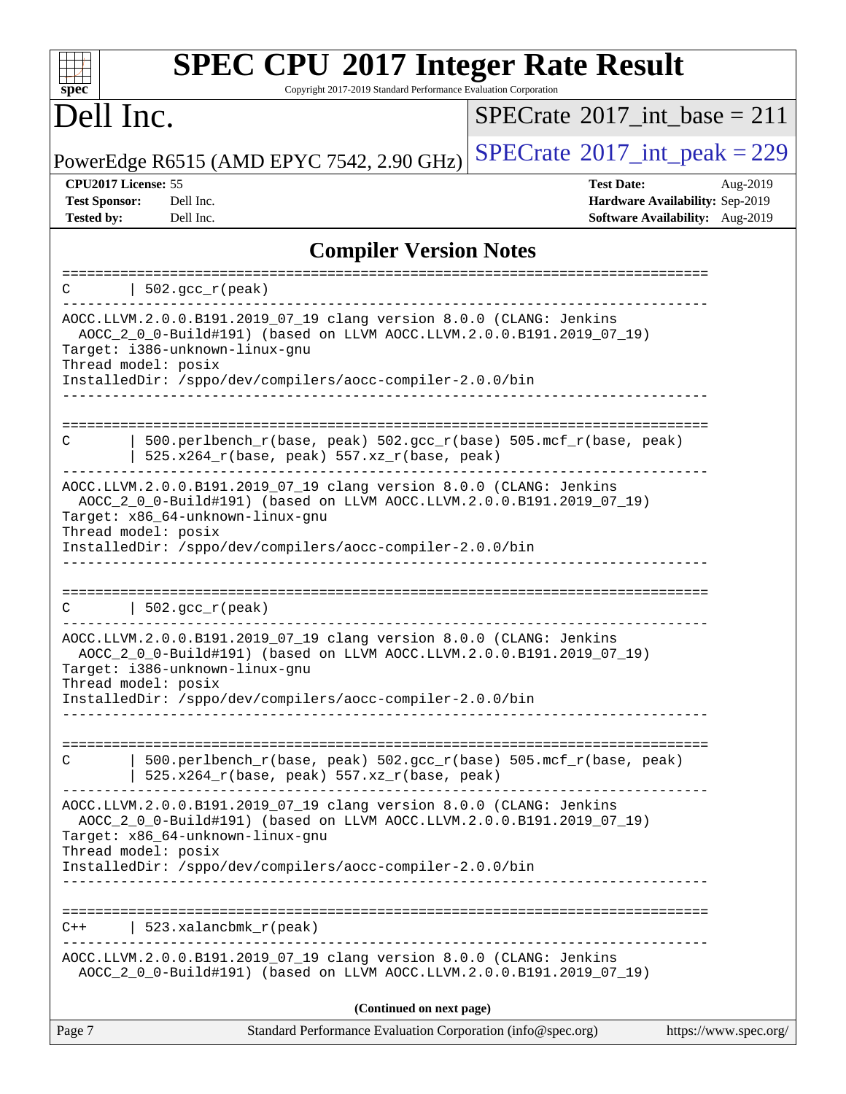| <b>SPEC CPU®2017 Integer Rate Result</b><br>Copyright 2017-2019 Standard Performance Evaluation Corporation<br>$spec^*$                                                                                                                                              |                                                                                                     |  |  |  |  |
|----------------------------------------------------------------------------------------------------------------------------------------------------------------------------------------------------------------------------------------------------------------------|-----------------------------------------------------------------------------------------------------|--|--|--|--|
| Dell Inc.                                                                                                                                                                                                                                                            | $SPECrate^{\circledast}2017$ int base = 211                                                         |  |  |  |  |
| PowerEdge R6515 (AMD EPYC 7542, 2.90 GHz)                                                                                                                                                                                                                            | $SPECrate^{\circ}2017\_int\_peak = 229$                                                             |  |  |  |  |
| CPU2017 License: 55<br><b>Test Sponsor:</b><br>Dell Inc.<br>Dell Inc.<br><b>Tested by:</b>                                                                                                                                                                           | <b>Test Date:</b><br>Aug-2019<br>Hardware Availability: Sep-2019<br>Software Availability: Aug-2019 |  |  |  |  |
| <b>Compiler Version Notes</b>                                                                                                                                                                                                                                        |                                                                                                     |  |  |  |  |
| $502.gcc_r (peak)$<br>C                                                                                                                                                                                                                                              |                                                                                                     |  |  |  |  |
| AOCC.LLVM.2.0.0.B191.2019_07_19 clang version 8.0.0 (CLANG: Jenkins<br>AOCC_2_0_0-Build#191) (based on LLVM AOCC.LLVM.2.0.0.B191.2019_07_19)<br>Target: i386-unknown-linux-gnu<br>Thread model: posix<br>InstalledDir: /sppo/dev/compilers/aocc-compiler-2.0.0/bin   |                                                                                                     |  |  |  |  |
| 500.perlbench_r(base, peak) 502.gcc_r(base) 505.mcf_r(base, peak)<br>C<br>525.x264_r(base, peak) 557.xz_r(base, peak)                                                                                                                                                |                                                                                                     |  |  |  |  |
| AOCC.LLVM.2.0.0.B191.2019_07_19 clang version 8.0.0 (CLANG: Jenkins<br>AOCC_2_0_0-Build#191) (based on LLVM AOCC.LLVM.2.0.0.B191.2019_07_19)<br>Target: x86_64-unknown-linux-gnu<br>Thread model: posix<br>InstalledDir: /sppo/dev/compilers/aocc-compiler-2.0.0/bin |                                                                                                     |  |  |  |  |
| $502.$ gcc_r(peak)<br>C                                                                                                                                                                                                                                              | =============================                                                                       |  |  |  |  |
| AOCC.LLVM.2.0.0.B191.2019_07_19 clang version 8.0.0 (CLANG: Jenkins<br>AOCC_2_0_0-Build#191) (based on LLVM AOCC.LLVM.2.0.0.B191.2019_07_19)<br>Target: i386-unknown-linux-gnu<br>Thread model: posix                                                                |                                                                                                     |  |  |  |  |
| InstalledDir: /sppo/dev/compilers/aocc-compiler-2.0.0/bin                                                                                                                                                                                                            |                                                                                                     |  |  |  |  |
| 500.perlbench_r(base, peak) 502.gcc_r(base) 505.mcf_r(base, peak)<br>C<br>525.x264_r(base, peak) 557.xz_r(base, peak)                                                                                                                                                |                                                                                                     |  |  |  |  |
| AOCC.LLVM.2.0.0.B191.2019_07_19 clang version 8.0.0 (CLANG: Jenkins<br>AOCC_2_0_0-Build#191) (based on LLVM AOCC.LLVM.2.0.0.B191.2019_07_19)<br>Target: x86_64-unknown-linux-gnu<br>Thread model: posix                                                              |                                                                                                     |  |  |  |  |
| InstalledDir: /sppo/dev/compilers/aocc-compiler-2.0.0/bin                                                                                                                                                                                                            |                                                                                                     |  |  |  |  |
| $523.xalanchm k_r (peak)$<br>C++                                                                                                                                                                                                                                     |                                                                                                     |  |  |  |  |
| AOCC.LLVM.2.0.0.B191.2019_07_19 clang version 8.0.0 (CLANG: Jenkins<br>AOCC_2_0_0-Build#191) (based on LLVM AOCC.LLVM.2.0.0.B191.2019_07_19)                                                                                                                         |                                                                                                     |  |  |  |  |
| (Continued on next page)                                                                                                                                                                                                                                             |                                                                                                     |  |  |  |  |
| Page 7<br>Standard Performance Evaluation Corporation (info@spec.org)                                                                                                                                                                                                | https://www.spec.org/                                                                               |  |  |  |  |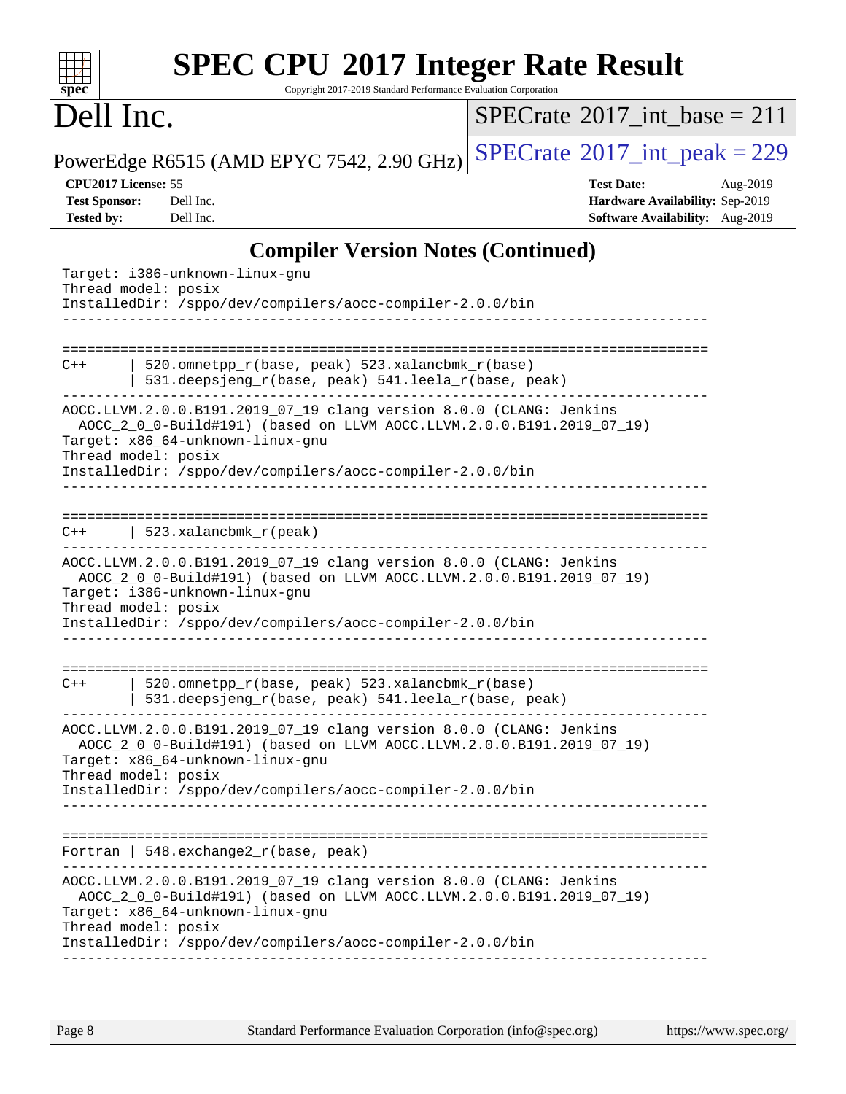| spec                                                                                                                                                                                                                                                                 |                                                                                                        | Copyright 2017-2019 Standard Performance Evaluation Corporation                                                                  | <b>SPEC CPU®2017 Integer Rate Result</b>                                                            |  |  |  |
|----------------------------------------------------------------------------------------------------------------------------------------------------------------------------------------------------------------------------------------------------------------------|--------------------------------------------------------------------------------------------------------|----------------------------------------------------------------------------------------------------------------------------------|-----------------------------------------------------------------------------------------------------|--|--|--|
| Dell Inc.                                                                                                                                                                                                                                                            |                                                                                                        |                                                                                                                                  | $SPECrate^{\circledcirc}2017$ int base = 211                                                        |  |  |  |
|                                                                                                                                                                                                                                                                      |                                                                                                        | PowerEdge R6515 (AMD EPYC 7542, 2.90 GHz)                                                                                        | $SPECTate$ <sup>®</sup> 2017_int_peak = 229                                                         |  |  |  |
| CPU2017 License: 55<br><b>Test Sponsor:</b><br><b>Tested by:</b>                                                                                                                                                                                                     | Dell Inc.<br>Dell Inc.                                                                                 |                                                                                                                                  | <b>Test Date:</b><br>Aug-2019<br>Hardware Availability: Sep-2019<br>Software Availability: Aug-2019 |  |  |  |
|                                                                                                                                                                                                                                                                      |                                                                                                        | <b>Compiler Version Notes (Continued)</b>                                                                                        |                                                                                                     |  |  |  |
|                                                                                                                                                                                                                                                                      | Target: i386-unknown-linux-gnu<br>Thread model: posix                                                  | InstalledDir: /sppo/dev/compilers/aocc-compiler-2.0.0/bin                                                                        |                                                                                                     |  |  |  |
| $C++$                                                                                                                                                                                                                                                                | 520.omnetpp_r(base, peak) 523.xalancbmk_r(base)<br>531.deepsjeng_r(base, peak) 541.leela_r(base, peak) |                                                                                                                                  |                                                                                                     |  |  |  |
| AOCC.LLVM.2.0.0.B191.2019_07_19 clang version 8.0.0 (CLANG: Jenkins<br>AOCC_2_0_0-Build#191) (based on LLVM AOCC.LLVM.2.0.0.B191.2019_07_19)<br>Target: x86_64-unknown-linux-gnu<br>Thread model: posix<br>InstalledDir: /sppo/dev/compilers/aocc-compiler-2.0.0/bin |                                                                                                        |                                                                                                                                  |                                                                                                     |  |  |  |
|                                                                                                                                                                                                                                                                      |                                                                                                        |                                                                                                                                  |                                                                                                     |  |  |  |
| $C++$                                                                                                                                                                                                                                                                | 523.xalancbmk_r(peak)                                                                                  |                                                                                                                                  |                                                                                                     |  |  |  |
|                                                                                                                                                                                                                                                                      | Target: i386-unknown-linux-gnu<br>Thread model: posix                                                  | AOCC.LLVM.2.0.0.B191.2019_07_19 clang version 8.0.0 (CLANG: Jenkins<br>InstalledDir: /sppo/dev/compilers/aocc-compiler-2.0.0/bin | AOCC_2_0_0-Build#191) (based on LLVM AOCC.LLVM.2.0.0.B191.2019_07_19)                               |  |  |  |
|                                                                                                                                                                                                                                                                      |                                                                                                        |                                                                                                                                  |                                                                                                     |  |  |  |
| $C++$                                                                                                                                                                                                                                                                |                                                                                                        | 520.omnetpp_r(base, peak) 523.xalancbmk_r(base)<br>531.deepsjeng_r(base, peak) 541.leela_r(base, peak)                           |                                                                                                     |  |  |  |

Target: x86\_64-unknown-linux-gnu Thread model: posix InstalledDir: /sppo/dev/compilers/aocc-compiler-2.0.0/bin ------------------------------------------------------------------------------ ============================================================================== Fortran | 548.exchange2\_r(base, peak) ------------------------------------------------------------------------------ AOCC.LLVM.2.0.0.B191.2019\_07\_19 clang version 8.0.0 (CLANG: Jenkins AOCC\_2\_0\_0-Build#191) (based on LLVM AOCC.LLVM.2.0.0.B191.2019\_07\_19) Target: x86\_64-unknown-linux-gnu Thread model: posix InstalledDir: /sppo/dev/compilers/aocc-compiler-2.0.0/bin

AOCC.LLVM.2.0.0.B191.2019\_07\_19 clang version 8.0.0 (CLANG: Jenkins

AOCC\_2\_0\_0-Build#191) (based on LLVM AOCC.LLVM.2.0.0.B191.2019\_07\_19)

------------------------------------------------------------------------------

------------------------------------------------------------------------------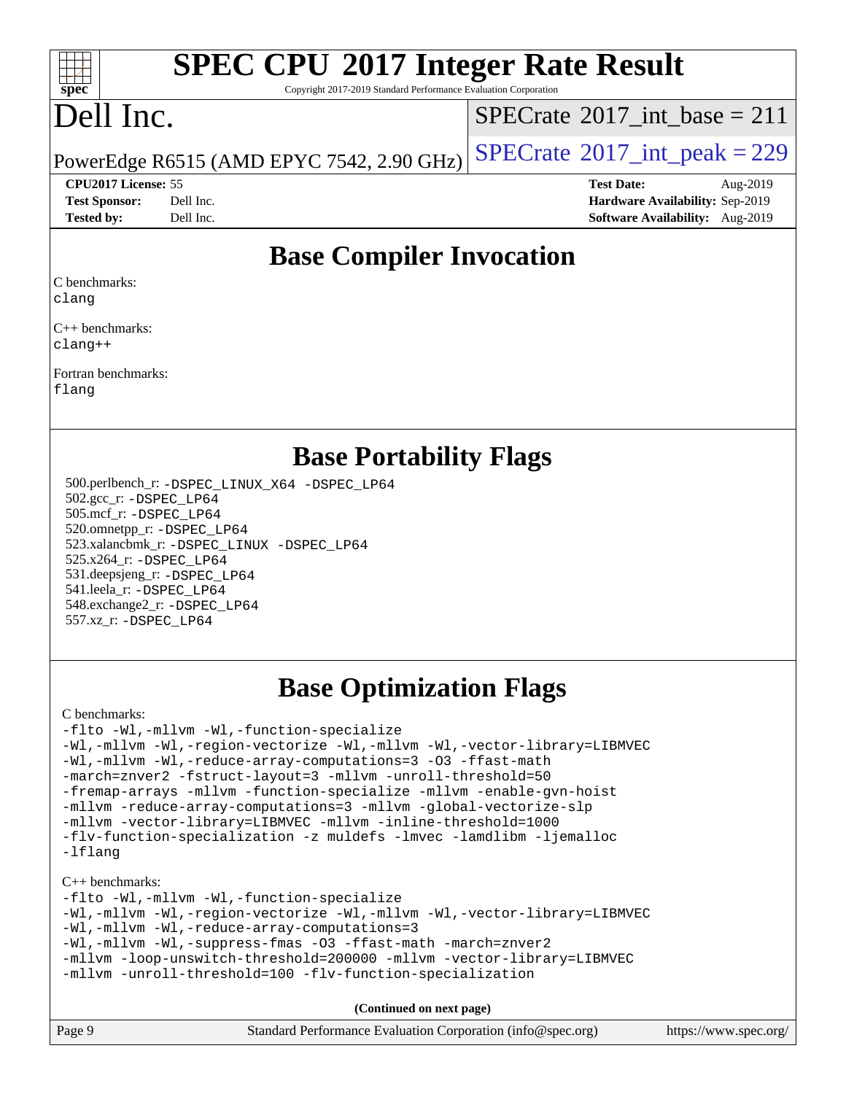### $\pm$   $\prime$ **[spec](http://www.spec.org/)**

## **[SPEC CPU](http://www.spec.org/auto/cpu2017/Docs/result-fields.html#SPECCPU2017IntegerRateResult)[2017 Integer Rate Result](http://www.spec.org/auto/cpu2017/Docs/result-fields.html#SPECCPU2017IntegerRateResult)**

Copyright 2017-2019 Standard Performance Evaluation Corporation

## Dell Inc.

 $SPECTate$ <sup>®</sup>[2017\\_int\\_base =](http://www.spec.org/auto/cpu2017/Docs/result-fields.html#SPECrate2017intbase) 211

PowerEdge R6515 (AMD EPYC 7542, 2.90 GHz)  $\left|$  [SPECrate](http://www.spec.org/auto/cpu2017/Docs/result-fields.html#SPECrate2017intpeak)®[2017\\_int\\_peak = 2](http://www.spec.org/auto/cpu2017/Docs/result-fields.html#SPECrate2017intpeak)29

### **[CPU2017 License:](http://www.spec.org/auto/cpu2017/Docs/result-fields.html#CPU2017License)** 55 **[Test Date:](http://www.spec.org/auto/cpu2017/Docs/result-fields.html#TestDate)** Aug-2019

| <b>Test Sponsor:</b> | Dell Inc. |
|----------------------|-----------|
| <b>Tested by:</b>    | Dell Inc. |

**[Hardware Availability:](http://www.spec.org/auto/cpu2017/Docs/result-fields.html#HardwareAvailability)** Sep-2019 **[Software Availability:](http://www.spec.org/auto/cpu2017/Docs/result-fields.html#SoftwareAvailability)** Aug-2019

### **[Base Compiler Invocation](http://www.spec.org/auto/cpu2017/Docs/result-fields.html#BaseCompilerInvocation)**

[C benchmarks](http://www.spec.org/auto/cpu2017/Docs/result-fields.html#Cbenchmarks):

[clang](http://www.spec.org/cpu2017/results/res2019q3/cpu2017-20190831-17279.flags.html#user_CCbase_clang-c)

[C++ benchmarks:](http://www.spec.org/auto/cpu2017/Docs/result-fields.html#CXXbenchmarks) [clang++](http://www.spec.org/cpu2017/results/res2019q3/cpu2017-20190831-17279.flags.html#user_CXXbase_clang-cpp)

[Fortran benchmarks:](http://www.spec.org/auto/cpu2017/Docs/result-fields.html#Fortranbenchmarks) [flang](http://www.spec.org/cpu2017/results/res2019q3/cpu2017-20190831-17279.flags.html#user_FCbase_flang)

### **[Base Portability Flags](http://www.spec.org/auto/cpu2017/Docs/result-fields.html#BasePortabilityFlags)**

 500.perlbench\_r: [-DSPEC\\_LINUX\\_X64](http://www.spec.org/cpu2017/results/res2019q3/cpu2017-20190831-17279.flags.html#b500.perlbench_r_basePORTABILITY_DSPEC_LINUX_X64) [-DSPEC\\_LP64](http://www.spec.org/cpu2017/results/res2019q3/cpu2017-20190831-17279.flags.html#b500.perlbench_r_baseEXTRA_PORTABILITY_DSPEC_LP64) 502.gcc\_r: [-DSPEC\\_LP64](http://www.spec.org/cpu2017/results/res2019q3/cpu2017-20190831-17279.flags.html#suite_baseEXTRA_PORTABILITY502_gcc_r_DSPEC_LP64) 505.mcf\_r: [-DSPEC\\_LP64](http://www.spec.org/cpu2017/results/res2019q3/cpu2017-20190831-17279.flags.html#suite_baseEXTRA_PORTABILITY505_mcf_r_DSPEC_LP64) 520.omnetpp\_r: [-DSPEC\\_LP64](http://www.spec.org/cpu2017/results/res2019q3/cpu2017-20190831-17279.flags.html#suite_baseEXTRA_PORTABILITY520_omnetpp_r_DSPEC_LP64) 523.xalancbmk\_r: [-DSPEC\\_LINUX](http://www.spec.org/cpu2017/results/res2019q3/cpu2017-20190831-17279.flags.html#b523.xalancbmk_r_basePORTABILITY_DSPEC_LINUX) [-DSPEC\\_LP64](http://www.spec.org/cpu2017/results/res2019q3/cpu2017-20190831-17279.flags.html#suite_baseEXTRA_PORTABILITY523_xalancbmk_r_DSPEC_LP64) 525.x264\_r: [-DSPEC\\_LP64](http://www.spec.org/cpu2017/results/res2019q3/cpu2017-20190831-17279.flags.html#suite_baseEXTRA_PORTABILITY525_x264_r_DSPEC_LP64) 531.deepsjeng\_r: [-DSPEC\\_LP64](http://www.spec.org/cpu2017/results/res2019q3/cpu2017-20190831-17279.flags.html#suite_baseEXTRA_PORTABILITY531_deepsjeng_r_DSPEC_LP64) 541.leela\_r: [-DSPEC\\_LP64](http://www.spec.org/cpu2017/results/res2019q3/cpu2017-20190831-17279.flags.html#suite_baseEXTRA_PORTABILITY541_leela_r_DSPEC_LP64) 548.exchange2\_r: [-DSPEC\\_LP64](http://www.spec.org/cpu2017/results/res2019q3/cpu2017-20190831-17279.flags.html#suite_baseEXTRA_PORTABILITY548_exchange2_r_DSPEC_LP64) 557.xz\_r: [-DSPEC\\_LP64](http://www.spec.org/cpu2017/results/res2019q3/cpu2017-20190831-17279.flags.html#suite_baseEXTRA_PORTABILITY557_xz_r_DSPEC_LP64)

## **[Base Optimization Flags](http://www.spec.org/auto/cpu2017/Docs/result-fields.html#BaseOptimizationFlags)**

#### [C benchmarks](http://www.spec.org/auto/cpu2017/Docs/result-fields.html#Cbenchmarks):

[-flto](http://www.spec.org/cpu2017/results/res2019q3/cpu2017-20190831-17279.flags.html#user_CCbase_aocc-flto) [-Wl,-mllvm -Wl,-function-specialize](http://www.spec.org/cpu2017/results/res2019q3/cpu2017-20190831-17279.flags.html#user_CCbase_F-function-specialize_7e7e661e57922243ee67c9a1251cb8910e607325179a0ce7f2884e09a6f5d4a5ef0ae4f37e8a2a11c95fc48e931f06dc2b6016f14b511fcb441e048bef1b065a) [-Wl,-mllvm -Wl,-region-vectorize](http://www.spec.org/cpu2017/results/res2019q3/cpu2017-20190831-17279.flags.html#user_CCbase_F-region-vectorize_fb6c6b5aa293c88efc6c7c2b52b20755e943585b1fe8658c35afef78727fff56e1a56891413c30e36b8e2a6f9a71126986319243e80eb6110b78b288f533c52b) [-Wl,-mllvm -Wl,-vector-library=LIBMVEC](http://www.spec.org/cpu2017/results/res2019q3/cpu2017-20190831-17279.flags.html#user_CCbase_F-use-vector-library_0a14b27fae317f283640384a31f7bfcc2bd4c1d0b5cfc618a3a430800c9b20217b00f61303eff223a3251b4f06ffbc9739dc5296db9d1fbb9ad24a3939d86d66) [-Wl,-mllvm -Wl,-reduce-array-computations=3](http://www.spec.org/cpu2017/results/res2019q3/cpu2017-20190831-17279.flags.html#user_CCbase_F-reduce-array-computations_b882aefe7a5dda4e33149f6299762b9a720dace3e498e13756f4c04e5a19edf5315c1f3993de2e61ec41e8c206231f84e05da7040e1bb5d69ba27d10a12507e4) [-O3](http://www.spec.org/cpu2017/results/res2019q3/cpu2017-20190831-17279.flags.html#user_CCbase_F-O3) [-ffast-math](http://www.spec.org/cpu2017/results/res2019q3/cpu2017-20190831-17279.flags.html#user_CCbase_aocc-ffast-math) [-march=znver2](http://www.spec.org/cpu2017/results/res2019q3/cpu2017-20190831-17279.flags.html#user_CCbase_aocc-march_3e2e19cff2eeef60c5d90b059483627c9ea47eca6d66670dbd53f9185f6439e27eb5e104cf773e9e8ab18c8842ce63e461a3e948d0214bd567ef3ade411bf467) [-fstruct-layout=3](http://www.spec.org/cpu2017/results/res2019q3/cpu2017-20190831-17279.flags.html#user_CCbase_F-struct-layout) [-mllvm -unroll-threshold=50](http://www.spec.org/cpu2017/results/res2019q3/cpu2017-20190831-17279.flags.html#user_CCbase_F-unroll-threshold_458874500b2c105d6d5cb4d7a611c40e2b16e9e3d26b355fea72d644c3673b4de4b3932662f0ed3dbec75c491a13da2d2ca81180bd779dc531083ef1e1e549dc) [-fremap-arrays](http://www.spec.org/cpu2017/results/res2019q3/cpu2017-20190831-17279.flags.html#user_CCbase_F-fremap-arrays) [-mllvm -function-specialize](http://www.spec.org/cpu2017/results/res2019q3/cpu2017-20190831-17279.flags.html#user_CCbase_F-function-specialize_233b3bdba86027f1b094368157e481c5bc59f40286dc25bfadc1858dcd5745c24fd30d5f188710db7fea399bcc9f44a80b3ce3aacc70a8870250c3ae5e1f35b8) [-mllvm -enable-gvn-hoist](http://www.spec.org/cpu2017/results/res2019q3/cpu2017-20190831-17279.flags.html#user_CCbase_F-enable-gvn-hoist_e5856354646dd6ca1333a0ad99b817e4cf8932b91b82809fd8fd47ceff7b22a89eba5c98fd3e3fa5200368fd772cec3dd56abc3c8f7b655a71b9f9848dddedd5) [-mllvm -reduce-array-computations=3](http://www.spec.org/cpu2017/results/res2019q3/cpu2017-20190831-17279.flags.html#user_CCbase_F-reduce-array-computations_aceadb8604558b566e0e3a0d7a3c1533923dd1fa0889614e16288028922629a28d5695c24d3b3be4306b1e311c54317dfffe3a2e57fbcaabc737a1798de39145) [-mllvm -global-vectorize-slp](http://www.spec.org/cpu2017/results/res2019q3/cpu2017-20190831-17279.flags.html#user_CCbase_F-global-vectorize-slp_a3935e8627af4ced727033b1ffd4db27f4d541a363d28d82bf4c2925fb3a0fd4115d6e42d13a2829f9e024d6608eb67a85cb49770f2da5c5ac8dbc737afad603) [-mllvm -vector-library=LIBMVEC](http://www.spec.org/cpu2017/results/res2019q3/cpu2017-20190831-17279.flags.html#user_CCbase_F-use-vector-library_e584e20b4f7ec96aa109254b65d8e01d864f3d68580371b9d93ed7c338191d4cfce20c3c864632264effc6bbe4c7c38153d02096a342ee92501c4a53204a7871) [-mllvm -inline-threshold=1000](http://www.spec.org/cpu2017/results/res2019q3/cpu2017-20190831-17279.flags.html#user_CCbase_dragonegg-llvm-inline-threshold_b7832241b0a6397e4ecdbaf0eb7defdc10f885c2a282fa3240fdc99844d543fda39cf8a4a9dccf68cf19b5438ac3b455264f478df15da0f4988afa40d8243bab) [-flv-function-specialization](http://www.spec.org/cpu2017/results/res2019q3/cpu2017-20190831-17279.flags.html#user_CCbase_F-flv-function-specialization) [-z muldefs](http://www.spec.org/cpu2017/results/res2019q3/cpu2017-20190831-17279.flags.html#user_CCbase_aocc-muldefs) [-lmvec](http://www.spec.org/cpu2017/results/res2019q3/cpu2017-20190831-17279.flags.html#user_CCbase_F-lmvec) [-lamdlibm](http://www.spec.org/cpu2017/results/res2019q3/cpu2017-20190831-17279.flags.html#user_CCbase_F-lamdlibm) [-ljemalloc](http://www.spec.org/cpu2017/results/res2019q3/cpu2017-20190831-17279.flags.html#user_CCbase_jemalloc-lib) [-lflang](http://www.spec.org/cpu2017/results/res2019q3/cpu2017-20190831-17279.flags.html#user_CCbase_F-lflang)

#### [C++ benchmarks:](http://www.spec.org/auto/cpu2017/Docs/result-fields.html#CXXbenchmarks)

[-flto](http://www.spec.org/cpu2017/results/res2019q3/cpu2017-20190831-17279.flags.html#user_CXXbase_aocc-flto) [-Wl,-mllvm -Wl,-function-specialize](http://www.spec.org/cpu2017/results/res2019q3/cpu2017-20190831-17279.flags.html#user_CXXbase_F-function-specialize_7e7e661e57922243ee67c9a1251cb8910e607325179a0ce7f2884e09a6f5d4a5ef0ae4f37e8a2a11c95fc48e931f06dc2b6016f14b511fcb441e048bef1b065a) [-Wl,-mllvm -Wl,-region-vectorize](http://www.spec.org/cpu2017/results/res2019q3/cpu2017-20190831-17279.flags.html#user_CXXbase_F-region-vectorize_fb6c6b5aa293c88efc6c7c2b52b20755e943585b1fe8658c35afef78727fff56e1a56891413c30e36b8e2a6f9a71126986319243e80eb6110b78b288f533c52b) [-Wl,-mllvm -Wl,-vector-library=LIBMVEC](http://www.spec.org/cpu2017/results/res2019q3/cpu2017-20190831-17279.flags.html#user_CXXbase_F-use-vector-library_0a14b27fae317f283640384a31f7bfcc2bd4c1d0b5cfc618a3a430800c9b20217b00f61303eff223a3251b4f06ffbc9739dc5296db9d1fbb9ad24a3939d86d66) [-Wl,-mllvm -Wl,-reduce-array-computations=3](http://www.spec.org/cpu2017/results/res2019q3/cpu2017-20190831-17279.flags.html#user_CXXbase_F-reduce-array-computations_b882aefe7a5dda4e33149f6299762b9a720dace3e498e13756f4c04e5a19edf5315c1f3993de2e61ec41e8c206231f84e05da7040e1bb5d69ba27d10a12507e4) [-Wl,-mllvm -Wl,-suppress-fmas](http://www.spec.org/cpu2017/results/res2019q3/cpu2017-20190831-17279.flags.html#user_CXXbase_F-suppress-fmas_f00f00630e4a059e8af9c161e9bbf420bcf19890a7f99d5933525e66aa4b0bb3ab2339d2b12d97d3a5f5d271e839fe9c109938e91fe06230fb53651590cfa1e8) [-O3](http://www.spec.org/cpu2017/results/res2019q3/cpu2017-20190831-17279.flags.html#user_CXXbase_F-O3) [-ffast-math](http://www.spec.org/cpu2017/results/res2019q3/cpu2017-20190831-17279.flags.html#user_CXXbase_aocc-ffast-math) [-march=znver2](http://www.spec.org/cpu2017/results/res2019q3/cpu2017-20190831-17279.flags.html#user_CXXbase_aocc-march_3e2e19cff2eeef60c5d90b059483627c9ea47eca6d66670dbd53f9185f6439e27eb5e104cf773e9e8ab18c8842ce63e461a3e948d0214bd567ef3ade411bf467) [-mllvm -loop-unswitch-threshold=200000](http://www.spec.org/cpu2017/results/res2019q3/cpu2017-20190831-17279.flags.html#user_CXXbase_F-loop-unswitch-threshold_f9a82ae3270e55b5fbf79d0d96ee93606b73edbbe527d20b18b7bff1a3a146ad50cfc7454c5297978340ae9213029016a7d16221274d672d3f7f42ed25274e1d) [-mllvm -vector-library=LIBMVEC](http://www.spec.org/cpu2017/results/res2019q3/cpu2017-20190831-17279.flags.html#user_CXXbase_F-use-vector-library_e584e20b4f7ec96aa109254b65d8e01d864f3d68580371b9d93ed7c338191d4cfce20c3c864632264effc6bbe4c7c38153d02096a342ee92501c4a53204a7871) [-mllvm -unroll-threshold=100](http://www.spec.org/cpu2017/results/res2019q3/cpu2017-20190831-17279.flags.html#user_CXXbase_F-unroll-threshold_2755d0c78138845d361fa1543e3a063fffa198df9b3edf0cfb856bbc88a81e1769b12ac7a550c5d35197be55360db1a3f95a8d1304df999456cabf5120c45168) [-flv-function-specialization](http://www.spec.org/cpu2017/results/res2019q3/cpu2017-20190831-17279.flags.html#user_CXXbase_F-flv-function-specialization)

| Page 9 | Standard Performance Evaluation Corporation (info@spec.org) | https://www.spec.org/ |
|--------|-------------------------------------------------------------|-----------------------|
|--------|-------------------------------------------------------------|-----------------------|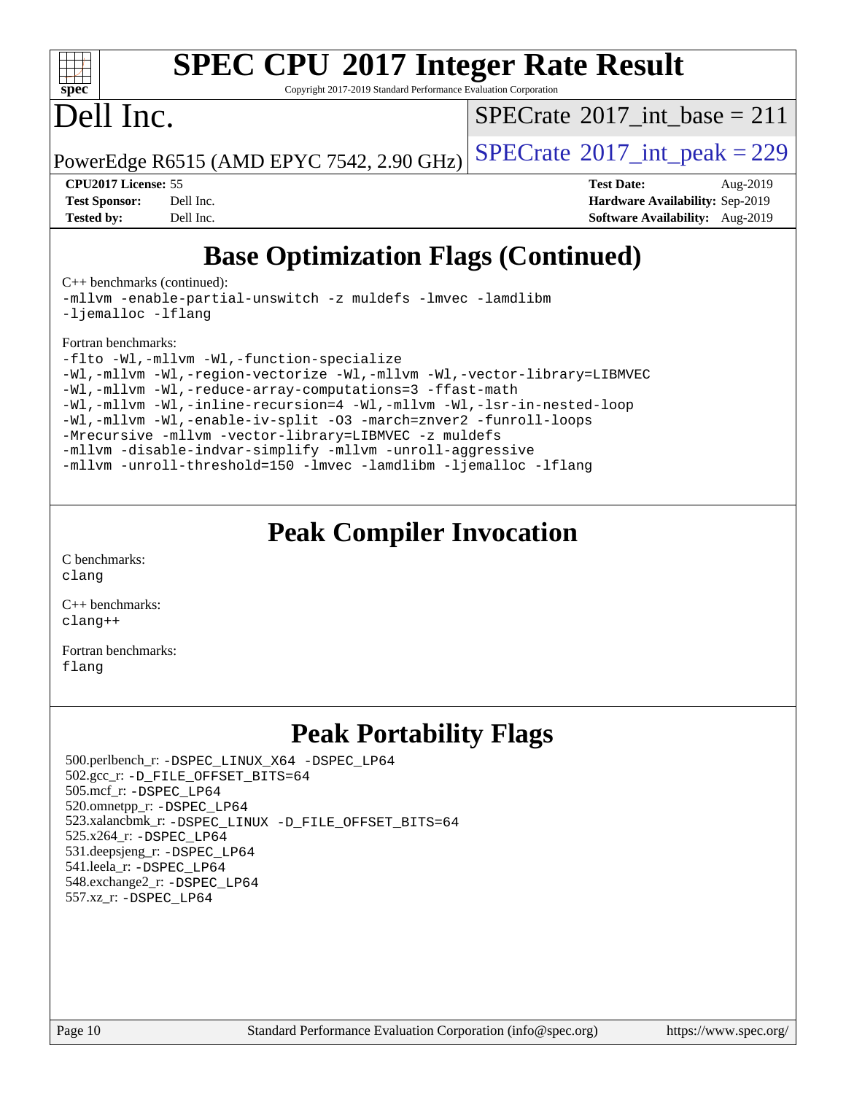

## **[SPEC CPU](http://www.spec.org/auto/cpu2017/Docs/result-fields.html#SPECCPU2017IntegerRateResult)[2017 Integer Rate Result](http://www.spec.org/auto/cpu2017/Docs/result-fields.html#SPECCPU2017IntegerRateResult)**

Copyright 2017-2019 Standard Performance Evaluation Corporation

## Dell Inc.

 $SPECTate$ <sup>®</sup>[2017\\_int\\_base =](http://www.spec.org/auto/cpu2017/Docs/result-fields.html#SPECrate2017intbase) 211

PowerEdge R6515 (AMD EPYC 7542, 2.90 GHz)  $\left|$  [SPECrate](http://www.spec.org/auto/cpu2017/Docs/result-fields.html#SPECrate2017intpeak)®[2017\\_int\\_peak = 2](http://www.spec.org/auto/cpu2017/Docs/result-fields.html#SPECrate2017intpeak)29

| <b>Test Sponsor:</b> | Dell Inc. |
|----------------------|-----------|
| <b>Tested by:</b>    | Dell Inc. |

**[CPU2017 License:](http://www.spec.org/auto/cpu2017/Docs/result-fields.html#CPU2017License)** 55 **[Test Date:](http://www.spec.org/auto/cpu2017/Docs/result-fields.html#TestDate)** Aug-2019 **[Hardware Availability:](http://www.spec.org/auto/cpu2017/Docs/result-fields.html#HardwareAvailability)** Sep-2019 **[Software Availability:](http://www.spec.org/auto/cpu2017/Docs/result-fields.html#SoftwareAvailability)** Aug-2019

## **[Base Optimization Flags \(Continued\)](http://www.spec.org/auto/cpu2017/Docs/result-fields.html#BaseOptimizationFlags)**

[C++ benchmarks](http://www.spec.org/auto/cpu2017/Docs/result-fields.html#CXXbenchmarks) (continued):

[-mllvm -enable-partial-unswitch](http://www.spec.org/cpu2017/results/res2019q3/cpu2017-20190831-17279.flags.html#user_CXXbase_F-enable-partial-unswitch_6e1c33f981d77963b1eaf834973128a7f33ce3f8e27f54689656697a35e89dcc875281e0e6283d043e32f367dcb605ba0e307a92e830f7e326789fa6c61b35d3) [-z muldefs](http://www.spec.org/cpu2017/results/res2019q3/cpu2017-20190831-17279.flags.html#user_CXXbase_aocc-muldefs) [-lmvec](http://www.spec.org/cpu2017/results/res2019q3/cpu2017-20190831-17279.flags.html#user_CXXbase_F-lmvec) [-lamdlibm](http://www.spec.org/cpu2017/results/res2019q3/cpu2017-20190831-17279.flags.html#user_CXXbase_F-lamdlibm) [-ljemalloc](http://www.spec.org/cpu2017/results/res2019q3/cpu2017-20190831-17279.flags.html#user_CXXbase_jemalloc-lib) [-lflang](http://www.spec.org/cpu2017/results/res2019q3/cpu2017-20190831-17279.flags.html#user_CXXbase_F-lflang)

#### [Fortran benchmarks](http://www.spec.org/auto/cpu2017/Docs/result-fields.html#Fortranbenchmarks):

```
-flto -Wl,-mllvm -Wl,-function-specialize
-Wl,-mllvm -Wl,-region-vectorize-Wl,-mllvm -Wl,-vector-library=LIBMVEC
-Wl,-mllvm -Wl,-reduce-array-computations=3 -ffast-math
-Wl,-mllvm -Wl,-inline-recursion=4 -Wl,-mllvm -Wl,-lsr-in-nested-loop
-Wl,-mllvm -Wl,-enable-iv-split -O3 -march=znver2 -funroll-loops
-Mrecursive -mllvm -vector-library=LIBMVEC -z muldefs
-mllvm -disable-indvar-simplify -mllvm -unroll-aggressive
-mllvm -unroll-threshold=150 -lmvec -lamdlibm -ljemalloc -lflang
```
### **[Peak Compiler Invocation](http://www.spec.org/auto/cpu2017/Docs/result-fields.html#PeakCompilerInvocation)**

[C benchmarks](http://www.spec.org/auto/cpu2017/Docs/result-fields.html#Cbenchmarks): [clang](http://www.spec.org/cpu2017/results/res2019q3/cpu2017-20190831-17279.flags.html#user_CCpeak_clang-c)

[C++ benchmarks:](http://www.spec.org/auto/cpu2017/Docs/result-fields.html#CXXbenchmarks) [clang++](http://www.spec.org/cpu2017/results/res2019q3/cpu2017-20190831-17279.flags.html#user_CXXpeak_clang-cpp)

[Fortran benchmarks](http://www.spec.org/auto/cpu2017/Docs/result-fields.html#Fortranbenchmarks): [flang](http://www.spec.org/cpu2017/results/res2019q3/cpu2017-20190831-17279.flags.html#user_FCpeak_flang)

### **[Peak Portability Flags](http://www.spec.org/auto/cpu2017/Docs/result-fields.html#PeakPortabilityFlags)**

 500.perlbench\_r: [-DSPEC\\_LINUX\\_X64](http://www.spec.org/cpu2017/results/res2019q3/cpu2017-20190831-17279.flags.html#b500.perlbench_r_peakPORTABILITY_DSPEC_LINUX_X64) [-DSPEC\\_LP64](http://www.spec.org/cpu2017/results/res2019q3/cpu2017-20190831-17279.flags.html#b500.perlbench_r_peakEXTRA_PORTABILITY_DSPEC_LP64) 502.gcc\_r: [-D\\_FILE\\_OFFSET\\_BITS=64](http://www.spec.org/cpu2017/results/res2019q3/cpu2017-20190831-17279.flags.html#user_peakEXTRA_PORTABILITY502_gcc_r_F-D_FILE_OFFSET_BITS_5ae949a99b284ddf4e95728d47cb0843d81b2eb0e18bdfe74bbf0f61d0b064f4bda2f10ea5eb90e1dcab0e84dbc592acfc5018bc955c18609f94ddb8d550002c) 505.mcf\_r: [-DSPEC\\_LP64](http://www.spec.org/cpu2017/results/res2019q3/cpu2017-20190831-17279.flags.html#suite_peakEXTRA_PORTABILITY505_mcf_r_DSPEC_LP64) 520.omnetpp\_r: [-DSPEC\\_LP64](http://www.spec.org/cpu2017/results/res2019q3/cpu2017-20190831-17279.flags.html#suite_peakEXTRA_PORTABILITY520_omnetpp_r_DSPEC_LP64) 523.xalancbmk\_r: [-DSPEC\\_LINUX](http://www.spec.org/cpu2017/results/res2019q3/cpu2017-20190831-17279.flags.html#b523.xalancbmk_r_peakPORTABILITY_DSPEC_LINUX) [-D\\_FILE\\_OFFSET\\_BITS=64](http://www.spec.org/cpu2017/results/res2019q3/cpu2017-20190831-17279.flags.html#user_peakEXTRA_PORTABILITY523_xalancbmk_r_F-D_FILE_OFFSET_BITS_5ae949a99b284ddf4e95728d47cb0843d81b2eb0e18bdfe74bbf0f61d0b064f4bda2f10ea5eb90e1dcab0e84dbc592acfc5018bc955c18609f94ddb8d550002c) 525.x264\_r: [-DSPEC\\_LP64](http://www.spec.org/cpu2017/results/res2019q3/cpu2017-20190831-17279.flags.html#suite_peakEXTRA_PORTABILITY525_x264_r_DSPEC_LP64) 531.deepsjeng\_r: [-DSPEC\\_LP64](http://www.spec.org/cpu2017/results/res2019q3/cpu2017-20190831-17279.flags.html#suite_peakEXTRA_PORTABILITY531_deepsjeng_r_DSPEC_LP64) 541.leela\_r: [-DSPEC\\_LP64](http://www.spec.org/cpu2017/results/res2019q3/cpu2017-20190831-17279.flags.html#suite_peakEXTRA_PORTABILITY541_leela_r_DSPEC_LP64) 548.exchange2\_r: [-DSPEC\\_LP64](http://www.spec.org/cpu2017/results/res2019q3/cpu2017-20190831-17279.flags.html#suite_peakEXTRA_PORTABILITY548_exchange2_r_DSPEC_LP64) 557.xz\_r: [-DSPEC\\_LP64](http://www.spec.org/cpu2017/results/res2019q3/cpu2017-20190831-17279.flags.html#suite_peakEXTRA_PORTABILITY557_xz_r_DSPEC_LP64)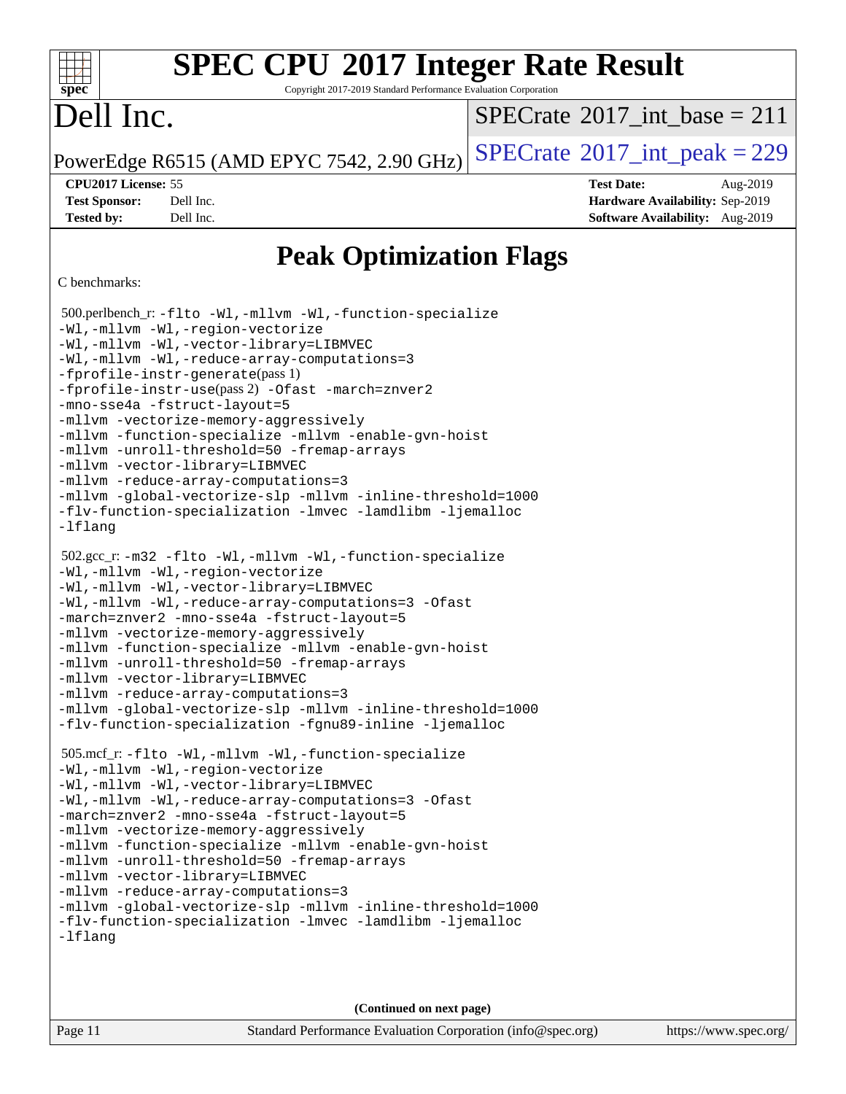## **[SPEC CPU](http://www.spec.org/auto/cpu2017/Docs/result-fields.html#SPECCPU2017IntegerRateResult)[2017 Integer Rate Result](http://www.spec.org/auto/cpu2017/Docs/result-fields.html#SPECCPU2017IntegerRateResult)**

Copyright 2017-2019 Standard Performance Evaluation Corporation

## Dell Inc.

**[spec](http://www.spec.org/)**

dd h

 $SPECTate$ <sup>®</sup>[2017\\_int\\_base =](http://www.spec.org/auto/cpu2017/Docs/result-fields.html#SPECrate2017intbase) 211

PowerEdge R6515 (AMD EPYC 7542, 2.90 GHz)  $\text{SPECrate}^{\circ}2017\_int\_peak = 229$  $\text{SPECrate}^{\circ}2017\_int\_peak = 229$  $\text{SPECrate}^{\circ}2017\_int\_peak = 229$ 

**[Test Sponsor:](http://www.spec.org/auto/cpu2017/Docs/result-fields.html#TestSponsor)** Dell Inc. **[Hardware Availability:](http://www.spec.org/auto/cpu2017/Docs/result-fields.html#HardwareAvailability)** Sep-2019 **[Tested by:](http://www.spec.org/auto/cpu2017/Docs/result-fields.html#Testedby)** Dell Inc. **[Software Availability:](http://www.spec.org/auto/cpu2017/Docs/result-fields.html#SoftwareAvailability)** Aug-2019

**[CPU2017 License:](http://www.spec.org/auto/cpu2017/Docs/result-fields.html#CPU2017License)** 55 **[Test Date:](http://www.spec.org/auto/cpu2017/Docs/result-fields.html#TestDate)** Aug-2019

**[Peak Optimization Flags](http://www.spec.org/auto/cpu2017/Docs/result-fields.html#PeakOptimizationFlags)**

#### [C benchmarks](http://www.spec.org/auto/cpu2017/Docs/result-fields.html#Cbenchmarks):

```
 500.perlbench_r: -flto -Wl,-mllvm -Wl,-function-specialize
-Wl,-mllvm -Wl,-region-vectorize
-Wl,-mllvm -Wl,-vector-library=LIBMVEC
-Wl,-mllvm -Wl,-reduce-array-computations=3
-fprofile-instr-generate(pass 1)
-fprofile-instr-use(pass 2) -Ofast -march=znver2
-mno-sse4a -fstruct-layout=5
-mllvm -vectorize-memory-aggressively
-mllvm -function-specialize -mllvm -enable-gvn-hoist
-mllvm -unroll-threshold=50 -fremap-arrays
-mllvm -vector-library=LIBMVEC
-mllvm -reduce-array-computations=3
-mllvm -global-vectorize-slp -mllvm -inline-threshold=1000
-flv-function-specialization -lmvec -lamdlibm -ljemalloc
-lflang
 502.gcc_r: -m32 -flto -Wl,-mllvm -Wl,-function-specialize
-Wl,-mllvm -Wl,-region-vectorize
-Wl,-mllvm -Wl,-vector-library=LIBMVEC
-Wl,-mllvm -Wl,-reduce-array-computations=3 -Ofast
-march=znver2 -mno-sse4a -fstruct-layout=5
-mllvm -vectorize-memory-aggressively
-mllvm -function-specialize -mllvm -enable-gvn-hoist
-mllvm -unroll-threshold=50 -fremap-arrays
-mllvm -vector-library=LIBMVEC
-mllvm -reduce-array-computations=3
-mllvm -global-vectorize-slp -mllvm -inline-threshold=1000
-flv-function-specialization -fgnu89-inline -ljemalloc
 505.mcf_r: -flto -Wl,-mllvm -Wl,-function-specialize
-Wl,-mllvm -Wl,-region-vectorize
-Wl,-mllvm -Wl,-vector-library=LIBMVEC
-Wl,-mllvm -Wl,-reduce-array-computations=3 -Ofast
-march=znver2 -mno-sse4a -fstruct-layout=5
-mllvm -vectorize-memory-aggressively
-mllvm -function-specialize -mllvm -enable-gvn-hoist
-mllvm -unroll-threshold=50 -fremap-arrays
-mllvm -vector-library=LIBMVEC
-mllvm -reduce-array-computations=3
-mllvm -global-vectorize-slp -mllvm -inline-threshold=1000
-flv-function-specialization -lmvec -lamdlibm -ljemalloc
-lflang
```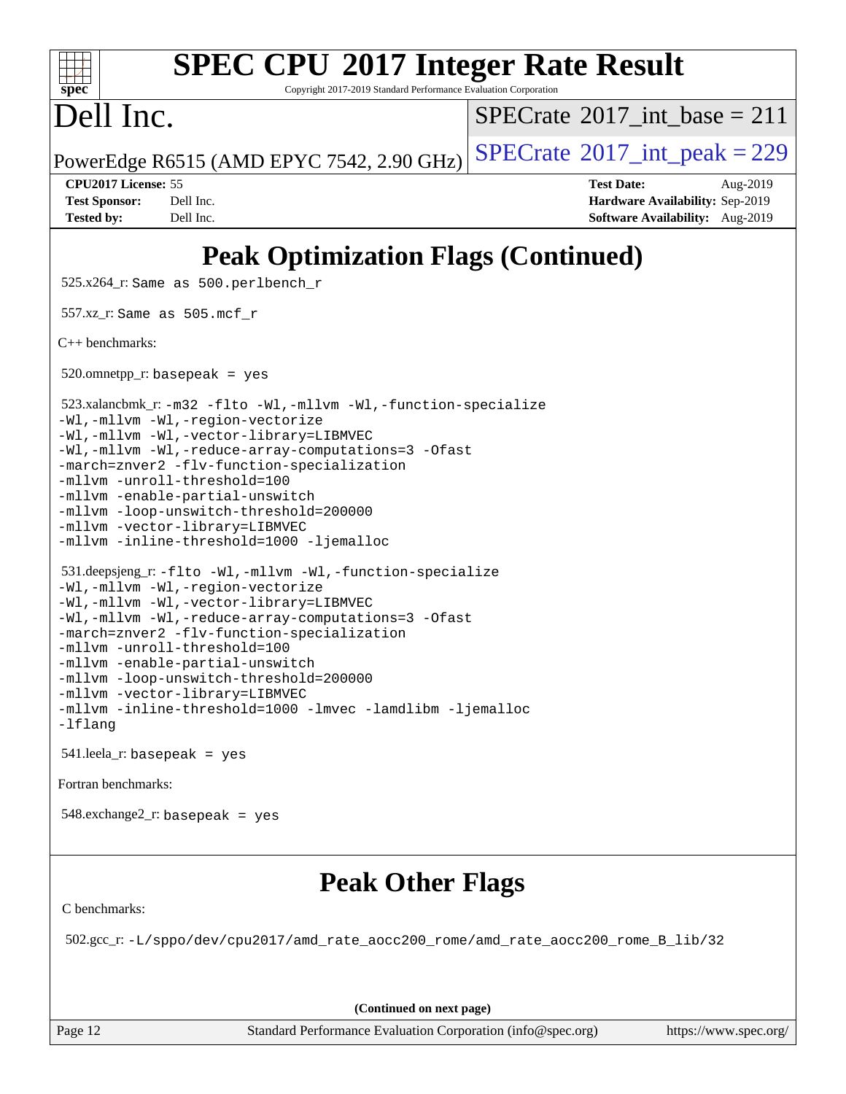| <b>SPEC CPU®2017 Integer Rate Result</b><br>spec<br>Copyright 2017-2019 Standard Performance Evaluation Corporation                                                                                                                                                                                                                                      |                                                                                                                                                                                                                                                                                                                                                                                                                                              |                                                                                                     |  |  |  |  |
|----------------------------------------------------------------------------------------------------------------------------------------------------------------------------------------------------------------------------------------------------------------------------------------------------------------------------------------------------------|----------------------------------------------------------------------------------------------------------------------------------------------------------------------------------------------------------------------------------------------------------------------------------------------------------------------------------------------------------------------------------------------------------------------------------------------|-----------------------------------------------------------------------------------------------------|--|--|--|--|
| Dell Inc.                                                                                                                                                                                                                                                                                                                                                |                                                                                                                                                                                                                                                                                                                                                                                                                                              | $SPECTate$ <sup>®</sup> 2017_int_base = 211                                                         |  |  |  |  |
|                                                                                                                                                                                                                                                                                                                                                          | PowerEdge R6515 (AMD EPYC 7542, 2.90 GHz)                                                                                                                                                                                                                                                                                                                                                                                                    | $SPECTate$ <sup>®</sup> 2017_int_peak = 229                                                         |  |  |  |  |
| CPU2017 License: 55<br><b>Test Sponsor:</b><br><b>Tested by:</b>                                                                                                                                                                                                                                                                                         | Dell Inc.<br>Dell Inc.                                                                                                                                                                                                                                                                                                                                                                                                                       | <b>Test Date:</b><br>Aug-2019<br>Hardware Availability: Sep-2019<br>Software Availability: Aug-2019 |  |  |  |  |
|                                                                                                                                                                                                                                                                                                                                                          | <b>Peak Optimization Flags (Continued)</b>                                                                                                                                                                                                                                                                                                                                                                                                   |                                                                                                     |  |  |  |  |
|                                                                                                                                                                                                                                                                                                                                                          | 525.x264_r: Same as 500.perlbench_r                                                                                                                                                                                                                                                                                                                                                                                                          |                                                                                                     |  |  |  |  |
| 557.xz_r: Same as $505$ .mcf_r                                                                                                                                                                                                                                                                                                                           |                                                                                                                                                                                                                                                                                                                                                                                                                                              |                                                                                                     |  |  |  |  |
| $C++$ benchmarks:                                                                                                                                                                                                                                                                                                                                        |                                                                                                                                                                                                                                                                                                                                                                                                                                              |                                                                                                     |  |  |  |  |
|                                                                                                                                                                                                                                                                                                                                                          | $520.$ omnetpp_r: basepeak = yes                                                                                                                                                                                                                                                                                                                                                                                                             |                                                                                                     |  |  |  |  |
|                                                                                                                                                                                                                                                                                                                                                          | 523.xalancbmk_r: -m32 -flto -Wl,-mllvm -Wl,-function-specialize<br>-Wl,-mllvm -Wl,-region-vectorize<br>-Wl,-mllvm -Wl,-vector-library=LIBMVEC<br>-Wl,-mllvm -Wl,-reduce-array-computations=3 -Ofast<br>-march=znver2 -flv-function-specialization<br>-mllvm -unroll-threshold=100<br>-mllvm -enable-partial-unswitch<br>-mllvm -loop-unswitch-threshold=200000<br>-mllvm -vector-library=LIBMVEC<br>-mllvm -inline-threshold=1000 -ljemalloc |                                                                                                     |  |  |  |  |
| 531.deepsjeng_r:-flto -Wl,-mllvm -Wl,-function-specialize<br>-Wl,-mllvm -Wl,-region-vectorize<br>-Wl,-mllvm -Wl,-vector-library=LIBMVEC<br>-Wl,-mllvm -Wl,-reduce-array-computations=3 -Ofast<br>-march=znver2 -flv-function-specialization<br>-mllvm -unroll-threshold=100<br>-mllvm -enable-partial-unswitch<br>-mllvm -loop-unswitch-threshold=200000 |                                                                                                                                                                                                                                                                                                                                                                                                                                              |                                                                                                     |  |  |  |  |

## **[Peak Other Flags](http://www.spec.org/auto/cpu2017/Docs/result-fields.html#PeakOtherFlags)**

[C benchmarks](http://www.spec.org/auto/cpu2017/Docs/result-fields.html#Cbenchmarks):

[Fortran benchmarks](http://www.spec.org/auto/cpu2017/Docs/result-fields.html#Fortranbenchmarks):

[-lflang](http://www.spec.org/cpu2017/results/res2019q3/cpu2017-20190831-17279.flags.html#user_peakEXTRA_LIBS531_deepsjeng_r_F-lflang)

[-mllvm -vector-library=LIBMVEC](http://www.spec.org/cpu2017/results/res2019q3/cpu2017-20190831-17279.flags.html#user_peakCXXOPTIMIZE531_deepsjeng_r_F-use-vector-library_e584e20b4f7ec96aa109254b65d8e01d864f3d68580371b9d93ed7c338191d4cfce20c3c864632264effc6bbe4c7c38153d02096a342ee92501c4a53204a7871)

541.leela\_r: basepeak = yes

548.exchange2\_r: basepeak = yes

[-mllvm -inline-threshold=1000](http://www.spec.org/cpu2017/results/res2019q3/cpu2017-20190831-17279.flags.html#user_peakCXXOPTIMIZE531_deepsjeng_r_dragonegg-llvm-inline-threshold_b7832241b0a6397e4ecdbaf0eb7defdc10f885c2a282fa3240fdc99844d543fda39cf8a4a9dccf68cf19b5438ac3b455264f478df15da0f4988afa40d8243bab) [-lmvec](http://www.spec.org/cpu2017/results/res2019q3/cpu2017-20190831-17279.flags.html#user_peakEXTRA_LIBS531_deepsjeng_r_F-lmvec) [-lamdlibm](http://www.spec.org/cpu2017/results/res2019q3/cpu2017-20190831-17279.flags.html#user_peakEXTRA_LIBS531_deepsjeng_r_F-lamdlibm) [-ljemalloc](http://www.spec.org/cpu2017/results/res2019q3/cpu2017-20190831-17279.flags.html#user_peakEXTRA_LIBS531_deepsjeng_r_jemalloc-lib)

502.gcc\_r: [-L/sppo/dev/cpu2017/amd\\_rate\\_aocc200\\_rome/amd\\_rate\\_aocc200\\_rome\\_B\\_lib/32](http://www.spec.org/cpu2017/results/res2019q3/cpu2017-20190831-17279.flags.html#user_peakEXTRA_LIBS502_gcc_r_Link_path_b5b00bf31c61d6947cc4d630bced3fb89849443ebddda32d892fa949b687351d25501389afe57599b9ceaeea7a84dd539259c16c4264887e55121a7d0c1762af)

**(Continued on next page)**

Page 12 Standard Performance Evaluation Corporation [\(info@spec.org\)](mailto:info@spec.org) <https://www.spec.org/>